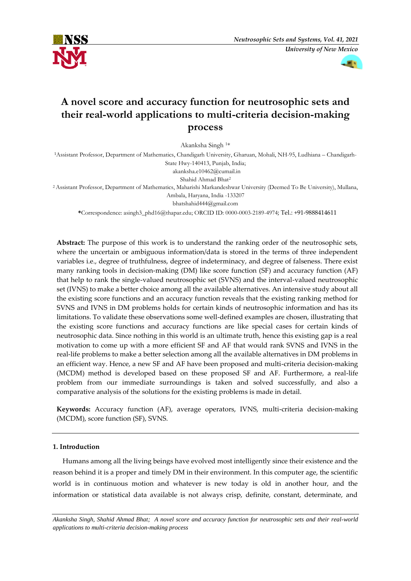



# **A novel score and accuracy function for neutrosophic sets and their real-world applications to multi-criteria decision-making process**

Akanksha Singh <sup>1</sup>\*

<sup>1</sup>Assistant Professor, Department of Mathematics, Chandigarh University, Gharuan, Mohali, NH-95, Ludhiana – Chandigarh-State Hwy-140413, Punjab, India;

akanksha.e10462@cumail.in

Shahid Ahmad Bhat<sup>2</sup>

<sup>2</sup>Assistant Professor, Department of Mathematics, Maharishi Markandeshwar University (Deemed To Be University), Mullana, Ambala, Haryana, India -133207

bhatshahid444@gmail.com

**\***Correspondence: asingh3\_phd16@thapar.edu; ORCID ID: 0000-0003-2189-4974; Tel.: +91-9888414611

**Abstract:** The purpose of this work is to understand the ranking order of the neutrosophic sets, where the uncertain or ambiguous information/data is stored in the terms of three independent variables i.e., degree of truthfulness, degree of indeterminacy, and degree of falseness. There exist many ranking tools in decision-making (DM) like score function (SF) and accuracy function (AF) that help to rank the single-valued neutrosophic set (SVNS) and the interval-valued neutrosophic set (IVNS) to make a better choice among all the available alternatives. An intensive study about all the existing score functions and an accuracy function reveals that the existing ranking method for SVNS and IVNS in DM problems holds for certain kinds of neutrosophic information and has its limitations. To validate these observations some well-defined examples are chosen, illustrating that the existing score functions and accuracy functions are like special cases for certain kinds of neutrosophic data. Since nothing in this world is an ultimate truth, hence this existing gap is a real motivation to come up with a more efficient SF and AF that would rank SVNS and IVNS in the real-life problems to make a better selection among all the available alternatives in DM problems in an efficient way. Hence, a new SF and AF have been proposed and multi-criteria decision-making (MCDM) method is developed based on these proposed SF and AF. Furthermore, a real-life problem from our immediate surroundings is taken and solved successfully, and also a comparative analysis of the solutions for the existing problems is made in detail.

**Keywords:** Accuracy function (AF), average operators, IVNS, multi-criteria decision-making (MCDM), score function (SF), SVNS.

#### **1. Introduction**

Humans among all the living beings have evolved most intelligently since their existence and the reason behind it is a proper and timely DM in their environment. In this computer age, the scientific world is in continuous motion and whatever is new today is old in another hour, and the information or statistical data available is not always crisp, definite, constant, determinate, and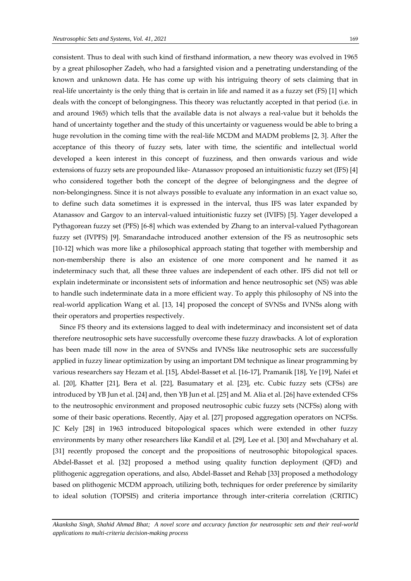consistent. Thus to deal with such kind of firsthand information, a new theory was evolved in 1965 by a great philosopher Zadeh, who had a farsighted vision and a penetrating understanding of the known and unknown data. He has come up with his intriguing theory of sets claiming that in real-life uncertainty is the only thing that is certain in life and named it as a fuzzy set (FS) [1] which deals with the concept of belongingness. This theory was reluctantly accepted in that period (i.e. in and around 1965) which tells that the available data is not always a real-value but it beholds the hand of uncertainty together and the study of this uncertainty or vagueness would be able to bring a huge revolution in the coming time with the real-life MCDM and MADM problems [2, 3]. After the acceptance of this theory of fuzzy sets, later with time, the scientific and intellectual world developed a keen interest in this concept of fuzziness, and then onwards various and wide extensions of fuzzy sets are propounded like- Atanassov proposed an intuitionistic fuzzy set (IFS) [4] who considered together both the concept of the degree of belongingness and the degree of non-belongingness. Since it is not always possible to evaluate any information in an exact value so, to define such data sometimes it is expressed in the interval, thus IFS was later expanded by Atanassov and Gargov to an interval-valued intuitionistic fuzzy set (IVIFS) [5]. Yager developed a Pythagorean fuzzy set (PFS) [6-8] which was extended by Zhang to an interval-valued Pythagorean fuzzy set (IVPFS) [9]. Smarandache introduced another extension of the FS as neutrosophic sets [10-12] which was more like a philosophical approach stating that together with membership and non-membership there is also an existence of one more component and he named it as indeterminacy such that, all these three values are independent of each other. IFS did not tell or explain indeterminate or inconsistent sets of information and hence neutrosophic set (NS) was able to handle such indeterminate data in a more efficient way. To apply this philosophy of NS into the real-world application Wang et al. [13, 14] proposed the concept of SVNSs and IVNSs along with their operators and properties respectively.

Since FS theory and its extensions lagged to deal with indeterminacy and inconsistent set of data therefore neutrosophic sets have successfully overcome these fuzzy drawbacks. A lot of exploration has been made till now in the area of SVNSs and IVNSs like neutrosophic sets are successfully applied in fuzzy linear optimization by using an important DM technique as linear programming by various researchers say Hezam et al. [15], Abdel-Basset et al. [16-17], Pramanik [18], Ye [19], Nafei et al. [20], Khatter [21], Bera et al. [22], Basumatary et al. [23], etc. Cubic fuzzy sets (CFSs) are introduced by YB Jun et al. [24] and, then YB Jun et al. [25] and M. Alia et al. [26] have extended CFSs to the neutrosophic environment and proposed neutrosophic cubic fuzzy sets (NCFSs) along with some of their basic operations. Recently, Ajay et al. [27] proposed aggregation operators on NCFSs. JC Kely [28] in 1963 introduced bitopological spaces which were extended in other fuzzy environments by many other researchers like Kandil et al. [29], Lee et al. [30] and Mwchahary et al. [31] recently proposed the concept and the propositions of neutrosophic bitopological spaces. Abdel-Basset et al. [32] proposed a method using quality function deployment (QFD) and plithogenic aggregation operations, and also, Abdel-Basset and Rehab [33] proposed a methodology based on plithogenic MCDM approach, utilizing both, techniques for order preference by similarity to ideal solution (TOPSIS) and criteria importance through inter-criteria correlation (CRITIC)

*Akanksha Singh, Shahid Ahmad Bhat; A novel score and accuracy function for neutrosophic sets and their real-world applications to multi-criteria decision-making process*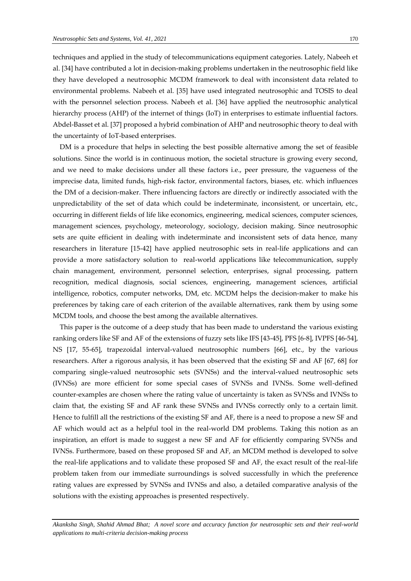techniques and applied in the study of telecommunications equipment categories. Lately, Nabeeh et al. [34] have contributed a lot in decision-making problems undertaken in the neutrosophic field like they have developed a neutrosophic MCDM framework to deal with inconsistent data related to environmental problems. Nabeeh et al. [35] have used integrated neutrosophic and TOSIS to deal with the personnel selection process. Nabeeh et al. [36] have applied the neutrosophic analytical hierarchy process (AHP) of the internet of things (IoT) in enterprises to estimate influential factors. Abdel-Basset et al. [37] proposed a hybrid combination of AHP and neutrosophic theory to deal with the uncertainty of IoT-based enterprises.

DM is a procedure that helps in selecting the best possible alternative among the set of feasible solutions. Since the world is in continuous motion, the societal structure is growing every second, and we need to make decisions under all these factors i.e., peer pressure, the vagueness of the imprecise data, limited funds, high-risk factor, environmental factors, biases, etc. which influences the DM of a decision-maker. There influencing factors are directly or indirectly associated with the unpredictability of the set of data which could be indeterminate, inconsistent, or uncertain, etc., occurring in different fields of life like economics, engineering, medical sciences, computer sciences, management sciences, psychology, meteorology, sociology, decision making. Since neutrosophic sets are quite efficient in dealing with indeterminate and inconsistent sets of data hence, many researchers in literature [15-42] have applied neutrosophic sets in real-life applications and can provide a more satisfactory solution to real-world applications like telecommunication, supply chain management, environment, personnel selection, enterprises, signal processing, pattern recognition, medical diagnosis, social sciences, engineering, management sciences, artificial intelligence, robotics, computer networks, DM, etc. MCDM helps the decision-maker to make his preferences by taking care of each criterion of the available alternatives, rank them by using some MCDM tools, and choose the best among the available alternatives.

This paper is the outcome of a deep study that has been made to understand the various existing ranking orders like SF and AF of the extensions of fuzzy sets like IFS [43-45], PFS [6-8], IVPFS [46-54], NS [17, 55-65], trapezoidal interval-valued neutrosophic numbers [66], etc., by the various researchers. After a rigorous analysis, it has been observed that the existing SF and AF [67, 68] for comparing single-valued neutrosophic sets (SVNSs) and the interval-valued neutrosophic sets (IVNSs) are more efficient for some special cases of SVNSs and IVNSs. Some well-defined counter-examples are chosen where the rating value of uncertainty is taken as SVNSs and IVNSs to claim that, the existing SF and AF rank these SVNSs and IVNSs correctly only to a certain limit. Hence to fulfill all the restrictions of the existing SF and AF, there is a need to propose a new SF and AF which would act as a helpful tool in the real-world DM problems. Taking this notion as an inspiration, an effort is made to suggest a new SF and AF for efficiently comparing SVNSs and IVNSs. Furthermore, based on these proposed SF and AF, an MCDM method is developed to solve the real-life applications and to validate these proposed SF and AF, the exact result of the real-life problem taken from our immediate surroundings is solved successfully in which the preference rating values are expressed by SVNSs and IVNSs and also, a detailed comparative analysis of the solutions with the existing approaches is presented respectively.

*Akanksha Singh, Shahid Ahmad Bhat; A novel score and accuracy function for neutrosophic sets and their real-world applications to multi-criteria decision-making process*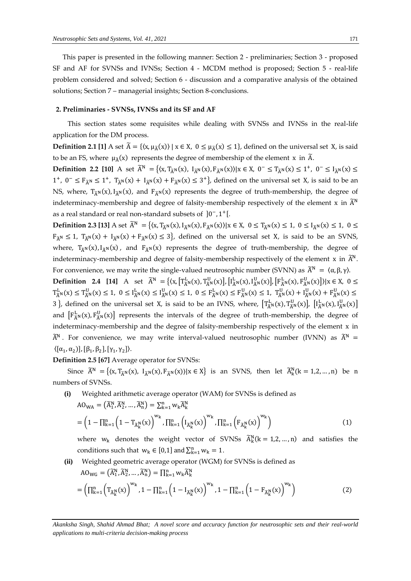This paper is presented in the following manner: Section 2 - preliminaries; Section 3 - proposed SF and AF for SVNSs and IVNSs; Section 4 - MCDM method is proposed; Section 5 - real-life problem considered and solved; Section 6 - discussion and a comparative analysis of the obtained solutions; Section 7 – managerial insights; Section 8-conclusions.

#### **2. Preliminaries - SVNSs, IVNSs and its SF and AF**

This section states some requisites while dealing with SVNSs and IVNSs in the real-life application for the DM process.

**Definition 2.1 [1]** A set  $\widetilde{A} = \{(x, \mu_{\widetilde{A}}(x)) | x \in X, 0 \leq \mu_{\widetilde{A}}(x) \leq 1\}$ , defined on the universal set X, is said to be an FS, where  $\mu_{\tilde{A}}(x)$  represents the degree of membership of the element x in  $\tilde{A}$ .

**Definition 2.2 [10]** A set  $\widetilde{A}^{N} = \{(x, T_{\widetilde{A}^{N}}(x), T_{\widetilde{A}^{N}}(x), F_{\widetilde{A}^{N}}(x)) | x \in X, 0^{-} \leq T_{\widetilde{A}^{N}}(x) \leq 1^{+}, 0^{-} \leq I_{\widetilde{A}^{N}}(x) \leq$ 1<sup>+</sup>, 0<sup>−</sup> ≤ F<sub>Ã</sub>N ≤ 1<sup>+</sup>, T<sub>Ã</sub>N(x) + I<sub>Ã</sub>N(x) + F<sub>Ã</sub>N(x) ≤ 3<sup>+</sup>}, defined on the universal set X, is said to be an NS, where,  $T_{\tilde{A}^N}(x)$ ,  $I_{\tilde{A}^N}(x)$ , and  $F_{\tilde{A}^N}(x)$  represents the degree of truth-membership, the degree of indeterminacy-membership and degree of falsity-membership respectively of the element x in  $\widetilde{A}^{N}$ as a real standard or real non-standard subsets of  $]0^-, 1^+[$ .

**Definition 2.3 [13]** A set  $\widetilde{A}^{N} = \{(x, T_{\widetilde{A}^{N}}(x), I_{\widetilde{A}^{N}}(x)) | x \in X, 0 \le T_{\widetilde{A}^{N}}(x) \le 1, 0 \le I_{\widetilde{A}^{N}}(x) \le 1, 0 \le 1, 0 \le 1, 0 \le 1, 0 \le 1, 0 \le 1, 0 \le 1, 0 \le 1, 0 \le 1, 0 \le 1, 0 \le 1, 0 \le 1, 0 \le 1, 0 \le 1,$  $F_{\tilde{A}^N} \le 1$ ,  $T_{\tilde{A}^N}(x) + I_{\tilde{A}^N}(x) + F_{\tilde{A}^N}(x) \le 3$ , defined on the universal set X, is said to be an SVNS, where,  $T_{\tilde{A}N}(x)$ ,  $I_{\tilde{A}N}(x)$ , and  $F_{\tilde{A}N}(x)$  represents the degree of truth-membership, the degree of indeterminacy-membership and degree of falsity-membership respectively of the element x in  $\widetilde{A}^{N}$ . For convenience, we may write the single-valued neutrosophic number (SVNN) as  $\widetilde{A}^N = \langle \alpha, \beta, \gamma \rangle$ .

**Definition** 2.4 [14] A set  $\widetilde{A}^{N} = \{ (x, [\mathcal{T}_{\widetilde{A}^{N}}^{L}(x), \mathcal{T}_{\widetilde{A}^{N}}^{U}(x)], [\mathcal{T}_{\widetilde{A}^{N}}^{L}(x), \mathcal{I}_{\widetilde{A}^{N}}^{U}(x)], [\mathcal{F}_{\widetilde{A}^{N}}^{L}(x), \mathcal{F}_{\widetilde{A}^{N}}^{U}(x)] \} | x \in X, 0 \leq$  $T_{\tilde{A}^N}^L(x) \le T_{\tilde{A}^N}^U(x) \le 1$ ,  $0 \le I_{\tilde{A}^N}^L(x) \le I_{\tilde{A}^N}^U(x) \le 1$ ,  $0 \le F_{\tilde{A}^N}^L(x) \le F_{\tilde{A}^N}^U(x) \le 1$ ,  $T_{\tilde{A}^N}^U(x) + I_{\tilde{A}^N}^U(x) + F_{\tilde{A}^N}^U(x) \le$ 3 }, defined on the universal set X, is said to be an IVNS, where,  $\left[T_{\tilde{A}^N}^{\text{L}}(x), T_{\tilde{A}^N}^{\text{U}}(x)\right]$ ,  $\left[I_{\tilde{A}^N}^{\text{L}}(x), I_{\tilde{A}^N}^{\text{U}}(x)\right]$ and  $[F_{\tilde{A}^N}^L(x), F_{\tilde{A}^N}^U(x)]$  represents the intervals of the degree of truth-membership, the degree of indeterminacy-membership and the degree of falsity-membership respectively of the element x in  $\widetilde{A}^{N}$ . For convenience, we may write interval-valued neutrosophic number (IVNN) as  $\widetilde{A}^{N}$  =  $\langle [\alpha_1, \alpha_2] ], [\beta_1, \beta_2], [\gamma_1, \gamma_2] \rangle.$ 

**Definition 2.5 [67]** Average operator for SVNSs:

Since  $\widetilde{A}^{N} = \{(x, T_{\widetilde{A}^{N}}(x), T_{\widetilde{A}^{N}}(x)) | x \in X\}$  is an SVNS, then let  $\widetilde{A}_{k}^{N}(k = 1, 2, ..., n)$  be n numbers of SVNSs.

**(i)** Weighted arithmetic average operator (WAM) for SVNSs is defined as  $A\mathbf{O}_{WA} = (\widetilde{A}_1^N, \widetilde{A}_2^N, ..., \widetilde{A}_n^N) = \sum_{k=1}^n w_k \widetilde{A}_k^N$ 

$$
= \left(1 - \prod_{k=1}^{n} \left(1 - T_{\tilde{A}_{k}^{N}}(x)\right)^{w_{k}}, \prod_{k=1}^{n} \left(I_{\tilde{A}_{k}^{N}}(x)\right)^{w_{k}}, \prod_{k=1}^{n} \left(F_{\tilde{A}_{k}^{N}}(x)\right)^{w_{k}}\right)
$$
(1)

where  $w_k$  denotes the weight vector of SVNSs  $\widetilde{A}_k^N(k = 1, 2, ..., n)$  and satisfies the conditions such that  $w_k \in [0,1]$  and  $\sum_{k=1}^{n} w_k = 1$ .

**(ii)** Weighted geometric average operator (WGM) for SVNSs is defined as  $A0_{\text{WG}} = (\tilde{A}_{1}^{\text{N}}, \tilde{A}_{2}^{\text{N}}, ..., \tilde{A}_{n}^{\text{N}}) = \prod_{k=1}^{n} w_{k} \tilde{A}_{k}^{\text{N}}$  $=\left(\prod_{k=1}^{n} \left(T_{\tilde{A}_{k}^{N}}(x)\right)^{w_{k}}, 1-\prod_{k=1}^{n} \left(1-I_{\tilde{A}_{k}^{N}}(x)\right)^{w_{k}}, 1-\prod_{k=1}^{n} \left(1-F_{\tilde{A}_{k}^{N}}(x)\right)^{w_{k}}\right)$  (2)

*Akanksha Singh, Shahid Ahmad Bhat; A novel score and accuracy function for neutrosophic sets and their real-world applications to multi-criteria decision-making process*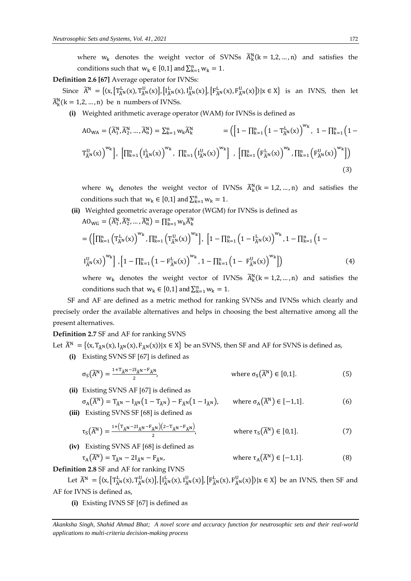where  $w_k$  denotes the weight vector of SVNSs  $\widetilde{A}_k^N(k = 1, 2, ..., n)$  and satisfies the conditions such that  $w_k \in [0,1]$  and  $\sum_{k=1}^n w_k = 1$ .

## **Definition 2.6 [67]** Average operator for IVNSs:

Since  $\widetilde{A}^N = \{(x, [\mathcal{T}_{\widetilde{A}^N}^L(x), \mathcal{T}_{\widetilde{A}^N}^U(x)], [\mathcal{T}_{\widetilde{A}^N}^L(x), \mathcal{I}_{\widetilde{A}^N}^U(x)], [\mathcal{F}_{\widetilde{A}^N}^L(x), \mathcal{F}_{\widetilde{A}^N}^U(x)]\}|x \in X\}$  is an IVNS, then let  $\widetilde{A}_k^N$ (k = 1,2, ..., n) be n numbers of IVNSs.

**(i)** Weighted arithmetic average operator (WAM) for IVNSs is defined as

$$
AO_{WA} = (\tilde{A}_{1}^{N}, \tilde{A}_{2}^{N}, ..., \tilde{A}_{n}^{N}) = \sum_{k=1}^{n} w_{k} \tilde{A}_{k}^{N} = \left( \left[ 1 - \prod_{k=1}^{n} \left( 1 - T_{\tilde{A}^{N}}^{L}(x) \right)^{w_{k}}, 1 - \prod_{k=1}^{n} \left( 1 - T_{\tilde{A}^{N}}^{L}(x) \right)^{w_{k}} \right],
$$
  

$$
\left[ \prod_{k=1}^{n} \left( I_{\tilde{A}^{N}}^{L}(x) \right)^{w_{k}}, \prod_{k=1}^{n} \left( I_{\tilde{A}^{N}}^{L}(x) \right)^{w_{k}} \right], \left[ \prod_{k=1}^{n} \left( F_{\tilde{A}^{N}}^{L}(x) \right)^{w_{k}}, \prod_{k=1}^{n} \left( F_{\tilde{A}^{N}}^{U}(x) \right)^{w_{k}} \right] \right)
$$
\n(3)

where  $w_k$  denotes the weight vector of IVNSs  $\widetilde{A}_k^N$ ( $k = 1, 2, ..., n$ ) and satisfies the conditions such that  $w_k \in [0,1]$  and  $\sum_{k=1}^n w_k = 1$ .

(ii) Weighted geometric average operator (WGM) for IVNSs is defined as  
\n
$$
AO_{WG} = (\tilde{A}_{1}^{N}, \tilde{A}_{2}^{N}, ..., \tilde{A}_{n}^{N}) = \prod_{k=1}^{n} w_{k} \tilde{A}_{k}^{N}
$$
\n
$$
= (\left[\prod_{k=1}^{n} \left(T_{\tilde{A}}^{L}(x)\right)^{w_{k}}, \prod_{k=1}^{n} \left(T_{\tilde{A}}^{U}(x)\right)^{w_{k}}\right], \left[1 - \prod_{k=1}^{n} \left(1 - I_{\tilde{A}}^{L}(x)\right)^{w_{k}}, 1 - \prod_{k=1}^{n} \left(1 - I_{\tilde{A}}^{U}(x)\right)^{w_{k}}\right],
$$
\n
$$
I_{\tilde{A}}^{U}(x) \bigg)^{w_{k}} \bigg], \left[1 - \prod_{k=1}^{n} \left(1 - F_{\tilde{A}}^{L}(x)\right)^{w_{k}}, 1 - \prod_{k=1}^{n} \left(1 - F_{\tilde{A}}^{U}(x)\right)^{w_{k}}\right] \bigg)
$$
\n(4)

where  $w_k$  denotes the weight vector of IVNSs  $\widetilde{A}_k^N(k = 1, 2, ..., n)$  and satisfies the conditions such that  $w_k \in [0,1]$  and  $\sum_{k=1}^n w_k = 1$ .

SF and AF are defined as a metric method for ranking SVNSs and IVNSs which clearly and precisely order the available alternatives and helps in choosing the best alternative among all the present alternatives.

#### **Definition 2.7** SF and AF for ranking SVNS

Let  $\widetilde{A}^{N} = \{(x, T_{\widetilde{A}^{N}}(x), I_{\widetilde{A}^{N}}(x)) | x \in X\}$  be an SVNS, then SF and AF for SVNS is defined as,

**(i)** Existing SVNS SF [67] is defined as

$$
\sigma_{S}(\widetilde{A}^{N}) = \frac{1 + T_{\widetilde{A}^{N}} - 2I_{\widetilde{A}^{N}} - F_{\widetilde{A}^{N}}}{2}, \qquad \text{where } \sigma_{S}(\widetilde{A}^{N}) \in [0, 1].
$$
 (5)

**(ii)** Existing SVNS AF [67] is defined as

$$
\sigma_{A}(\widetilde{A}^{N}) = T_{\widetilde{A}^{N}} - I_{\widetilde{A}^{N}}(1 - T_{\widetilde{A}^{N}}) - F_{\widetilde{A}^{N}}(1 - I_{\widetilde{A}^{N}}), \quad \text{where } \sigma_{A}(\widetilde{A}^{N}) \in [-1,1].
$$
 (6)

**(iii)** Existing SVNS SF [68] is defined as

$$
\tau_{S}(\widetilde{A}^{N}) = \frac{1 + (T_{\widetilde{A}^{N}} - 2I_{\widetilde{A}^{N}} - F_{\widetilde{A}^{N}})(2 - T_{\widetilde{A}^{N}} - F_{\widetilde{A}^{N}})}{2}, \qquad \text{where } \tau_{S}(\widetilde{A}^{N}) \in [0, 1].
$$
 (7)

**(iv)** Existing SVNS AF [68] is defined as  $\tau_A(\widetilde{A}^N) = T_{\widetilde{A}^N} - 2I_{\widetilde{A}^N} - F_{\widetilde{A}^N},$ 

where 
$$
\tau_A(\widetilde{A}^N) \in [-1,1].
$$
 (8)

**Definition 2.8** SF and AF for ranking IVNS

Let  $\widetilde{A}^N = \{(x, [\Gamma^L_{\widetilde{A}^N}(x), \Gamma^U_{\widetilde{A}^N}(x)], [\Gamma^L_{\widetilde{A}^N}(x), \Gamma^U_{\widetilde{A}^N}(x)], [\Gamma^L_{\widetilde{A}^N}(x), \Gamma^U_{\widetilde{A}^N}(x)]\}|x \in X\}$  be an IVNS, then SF and AF for IVNS is defined as,

**(i)** Existing IVNS SF [67] is defined as

*Akanksha Singh, Shahid Ahmad Bhat; A novel score and accuracy function for neutrosophic sets and their real-world applications to multi-criteria decision-making process*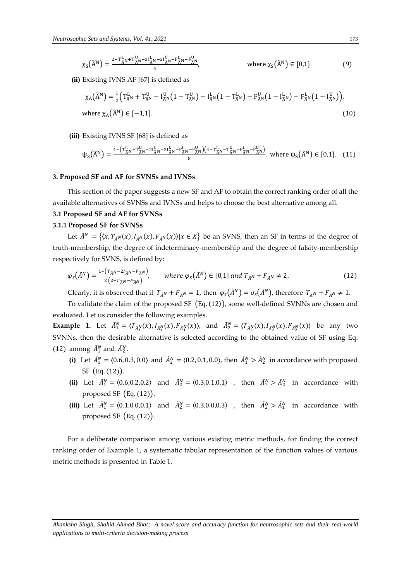$$
\chi_{S}(\widetilde{A}^{N}) = \frac{2 + \mathbf{T}_{\widetilde{A}^{N}}^{\mathbf{L}} + \mathbf{T}_{\widetilde{A}^{N}}^{\mathbf{U}} - 2\mathbf{I}_{\widetilde{A}^{N}}^{\mathbf{L}} - \mathbf{F}_{\widetilde{A}^{N}}^{\mathbf{L}} - \mathbf{F}_{\widetilde{A}^{N}}^{\mathbf{L}}}{4}, \qquad \text{where } \chi_{S}(\widetilde{A}^{N}) \in [0, 1].
$$
 (9)

**(ii)** Existing IVNS AF [67] is defined as

$$
\chi_{A}(\widetilde{A}^{N}) = \frac{1}{2} \Big( T_{\widetilde{A}^{N}}^{L} + T_{\widetilde{A}^{N}}^{U} - I_{\widetilde{A}^{N}}^{U} \Big( 1 - T_{\widetilde{A}^{N}}^{U} \Big) - I_{\widetilde{A}^{N}}^{L} \Big( 1 - T_{\widetilde{A}^{N}}^{L} \Big) - F_{\widetilde{A}^{N}}^{U} \Big( 1 - I_{\widetilde{A}^{N}}^{L} \Big) - F_{\widetilde{A}^{N}}^{L} \Big( 1 - I_{\widetilde{A}^{N}}^{U} \Big) \Big),
$$
\nwhere  $\chi_{A}(\widetilde{A}^{N}) \in [-1, 1]$ . (10)

**(iii)** Existing IVNS SF [68] is defined as

$$
\psi_{S}(\widetilde{A}^{N}) = \frac{\sqrt{4 + \left(\mathbf{T}_{\widetilde{A}^{N}}^{L} + \mathbf{T}_{\widetilde{A}^{N}}^{U} - 2\mathbf{I}_{\widetilde{A}^{N}}^{L} - \mathbf{F}_{\widetilde{A}^{N}}^{U}\right)\left(4 - \mathbf{T}_{\widetilde{A}^{N}}^{L} - \mathbf{T}_{\widetilde{A}^{N}}^{U} - \mathbf{F}_{\widetilde{A}^{N}}^{L}\right)}}{8}, \text{ where } \psi_{S}(\widetilde{A}^{N}) \in [0, 1]. \quad (11)
$$

#### **3. Proposed SF and AF for SVNSs and IVNSs**

This section of the paper suggests a new SF and AF to obtain the correct ranking order of all the available alternatives of SVNSs and IVNSs and helps to choose the best alternative among all.

## **3.1 Proposed SF and AF for SVNSs**

#### **3.1.1 Proposed SF for SVNSs**

Let  $\tilde{A}^N = \{ (x, T_{\tilde{A}^N}(x), I_{\tilde{A}^N}(x), F_{\tilde{A}^N}(x)) | x \in X \}$  be an SVNS, then an SF in terms of the degree of truth-membership, the degree of indeterminacy-membership and the degree of falsity-membership respectively for SVNS, is defined by:

$$
\varphi_S(\tilde{A}^N) = \frac{1 + (T_{\tilde{A}^N} - 2I_{\tilde{A}^N} - F_{\tilde{A}^N})}{2\left(2 - T_{\tilde{A}^N} - F_{\tilde{A}^N}\right)}, \qquad \text{where } \varphi_S(\tilde{A}^N) \in [0,1] \text{ and } T_{\tilde{A}^N} + F_{\tilde{A}^N} \neq 2. \tag{12}
$$

Clearly, it is observed that if  $T_{\tilde{A}^N} + F_{\tilde{A}^N} = 1$ , then  $\varphi_S(\tilde{A}^N) = \sigma_S(\tilde{A}^N)$ , therefore  $T_{\tilde{A}^N} + F_{\tilde{A}^N} \neq 1$ .

To validate the claim of the proposed SF (Eq. (12)), some well-defined SVNNs are chosen and evaluated. Let us consider the following examples.

**Example 1.** Let  $\tilde{A}_1^N = \langle T_{\tilde{A}_1^N}(x), I_{\tilde{A}_1^N}(x), F_{\tilde{A}_1^N}(x) \rangle$ , and  $\tilde{A}_2^N = \langle T_{\tilde{A}_2^N}(x), I_{\tilde{A}_2^N}(x), F_{\tilde{A}_2^N}(x) \rangle$  be any two SVNNs, then the desirable alternative is selected according to the obtained value of SF using Eq. (12) among  $\tilde{A}_1^N$  and  $\tilde{A}_2^N$ .

- (i) Let  $\tilde{A}_1^N = (0.6, 0.3, 0.0)$  and  $\tilde{A}_2^N = (0.2, 0.1, 0.0)$ , then  $\tilde{A}_1^N > \tilde{A}_2^N$  in accordance with proposed SF (Eq. (12)).
- (ii) Let  $\tilde{A}_1^N = \langle 0.6, 0.2, 0.2 \rangle$  and  $\tilde{A}_2^N = \langle 0.3, 0.1, 0.1 \rangle$ , then  $\tilde{A}_1^N > \tilde{A}_2^N$  in accordance with proposed SF  $(Eq. (12))$ .
- (iii) Let  $\tilde{A}_1^N = \langle 0.1, 0.0, 0.1 \rangle$  and  $\tilde{A}_2^N = \langle 0.3, 0.0, 0.3 \rangle$ , then  $\tilde{A}_2^N > \tilde{A}_1^N$  in accordance with proposed SF (Eq. (12)).

For a deliberate comparison among various existing metric methods, for finding the correct ranking order of Example 1, a systematic tabular representation of the function values of various metric methods is presented in Table 1.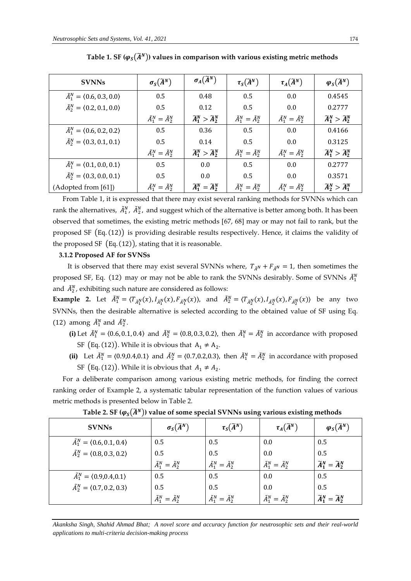| <b>SVNNs</b>                                    | $\sigma_S(\widetilde{A}^N)$     | $\sigma_A(\widetilde{A}^N)$             | $\tau_S(\widetilde{A}^N)$       | $\tau_A(\widetilde{A}^N)$       | $\varphi_S(\widetilde{A}^N)$            |
|-------------------------------------------------|---------------------------------|-----------------------------------------|---------------------------------|---------------------------------|-----------------------------------------|
| $\tilde{A}_1^N = \langle 0.6, 0.3, 0.0 \rangle$ | 0.5                             | 0.48                                    | 0.5                             | 0.0                             | 0.4545                                  |
| $\tilde{A}_2^N = \langle 0.2, 0.1, 0.0 \rangle$ | 0.5                             | 0.12                                    | 0.5                             | $0.0^{\circ}$                   | 0.2777                                  |
|                                                 | $\tilde{A}_1^N = \tilde{A}_2^N$ | $\widetilde{A}_1^N > \widetilde{A}_2^N$ | $\tilde{A}_1^N = \tilde{A}_2^N$ | $\tilde{A}_1^N = \tilde{A}_2^N$ | $\widetilde{A}_1^N > \widetilde{A}_2^N$ |
| $\tilde{A}_1^N = \langle 0.6, 0.2, 0.2 \rangle$ | 0.5                             | 0.36                                    | 0.5                             | 0.0                             | 0.4166                                  |
| $\tilde{A}_2^N = \langle 0.3, 0.1, 0.1 \rangle$ | 0.5                             | 0.14                                    | 0.5                             | $0.0^{\circ}$                   | 0.3125                                  |
|                                                 | $\tilde{A}_1^N = \tilde{A}_2^N$ | $\widetilde{A}_1^N > \widetilde{A}_2^N$ | $\tilde{A}_1^N = \tilde{A}_2^N$ | $\tilde{A}_1^N = \tilde{A}_2^N$ | $\widetilde{A}_1^N > \widetilde{A}_2^N$ |
| $\tilde{A}_1^N = \langle 0.1, 0.0, 0.1 \rangle$ | 0.5                             | 0.0                                     | 0.5                             | 0.0                             | 0.2777                                  |
| $\tilde{A}_2^N = \langle 0.3, 0.0, 0.1 \rangle$ | 0.5                             | 0.0                                     | 0.5                             | $0.0^{\circ}$                   | 0.3571                                  |
| (Adopted from [61])                             | $\tilde{A}_1^N = \tilde{A}_2^N$ | $\widetilde{A}_1^N = \widetilde{A}_2^N$ | $\tilde{A}_1^N = \tilde{A}_2^N$ | $\tilde{A}_1^N = \tilde{A}_2^N$ | $\widetilde{A}_2^N > \widetilde{A}_1^N$ |

Table 1. SF ( $\varphi_s(\widetilde{A}^N)$ ) values in comparison with various existing metric methods

From Table 1, it is expressed that there may exist several ranking methods for SVNNs which can rank the alternatives,  $\tilde{A}^N_1$ ,  $\tilde{A}^N_2$ , and suggest which of the alternative is better among both. It has been observed that sometimes, the existing metric methods [67, 68] may or may not fail to rank, but the proposed SF (Eq. (12)) is providing desirable results respectively. Hence, it claims the validity of the proposed SF  $(Eq. (12))$ , stating that it is reasonable.

#### **3.1.2 Proposed AF for SVNSs**

It is observed that there may exist several SVNNs where,  $T_{\tilde{A}^N} + F_{\tilde{A}^N} = 1$ , then sometimes the proposed SF, Eq. (12) may or may not be able to rank the SVNNs desirably. Some of SVNNs  $\tilde{A}_1^N$ and  $\tilde{A}_2^N$ , exhibiting such nature are considered as follows:

**Example 2.** Let  $\tilde{A}_1^N = \langle T_{\tilde{A}_1^N}(x), I_{\tilde{A}_1^N}(x), F_{\tilde{A}_1^N}(x) \rangle$ , and  $\tilde{A}_2^N = \langle T_{\tilde{A}_2^N}(x), I_{\tilde{A}_2^N}(x), F_{\tilde{A}_2^N}(x) \rangle$  be any two SVNNs, then the desirable alternative is selected according to the obtained value of SF using Eq. (12) among  $\tilde{A}_1^N$  and  $\tilde{A}_2^N$ .

- **(i)** Let  $\tilde{A}_1^N = \langle 0.6, 0.1, 0.4 \rangle$  and  $\tilde{A}_2^N = \langle 0.8, 0.3, 0.2 \rangle$ , then  $\tilde{A}_1^N = \tilde{A}_2^N$  in accordance with proposed SF (Eq. (12)). While it is obvious that  $A_1 \neq A_2$ .
- (ii) Let  $\tilde{A}_1^N = \langle 0.9, 0.4, 0.1 \rangle$  and  $\tilde{A}_2^N = \langle 0.7, 0.2, 0.3 \rangle$ , then  $\tilde{A}_1^N = \tilde{A}_2^N$  in accordance with proposed SF (Eq. (12)). While it is obvious that  $A_1 \neq A_2$ .

For a deliberate comparison among various existing metric methods, for finding the correct ranking order of Example 2, a systematic tabular representation of the function values of various metric methods is presented below in Table 2.

| <b>SVNNs</b>                                    | $\sigma_S(\widetilde{A}^N)$     | $\tau_S(\widetilde{A}^N)$       | $\tau_A(\widetilde{A}^N)$       | $\varphi_{S}(\widetilde{A}^{N})$        |
|-------------------------------------------------|---------------------------------|---------------------------------|---------------------------------|-----------------------------------------|
| $\tilde{A}_1^N = \langle 0.6, 0.1, 0.4 \rangle$ | 0.5                             | 0.5                             | 0.0                             | 0.5                                     |
| $\tilde{A}_2^N = \langle 0.8, 0.3, 0.2 \rangle$ | 0.5                             | 0.5                             | 0.0                             | 0.5                                     |
|                                                 | $\tilde{A}_1^N = \tilde{A}_2^N$ | $\tilde{A}_1^N = \tilde{A}_2^N$ | $\tilde{A}_1^N = \tilde{A}_2^N$ | $\widetilde{A}_1^N = \widetilde{A}_2^N$ |
| $\tilde{A}_1^N = \langle 0.9, 0.4, 0.1 \rangle$ | 0.5                             | 0.5                             | 0.0                             | 0.5                                     |
| $\tilde{A}_2^N = \langle 0.7, 0.2, 0.3 \rangle$ | 0.5                             | 0.5                             | 0.0                             | 0.5                                     |
|                                                 | $\tilde{A}_1^N = \tilde{A}_2^N$ | $\tilde{A}_1^N = \tilde{A}_2^N$ | $\tilde{A}_1^N = \tilde{A}_2^N$ | $\widetilde{A}_1^N = \widetilde{A}_2^N$ |

Table 2. SF ( $\varphi_s(\widetilde{A}^N)$ ) value of some special SVNNs using various existing methods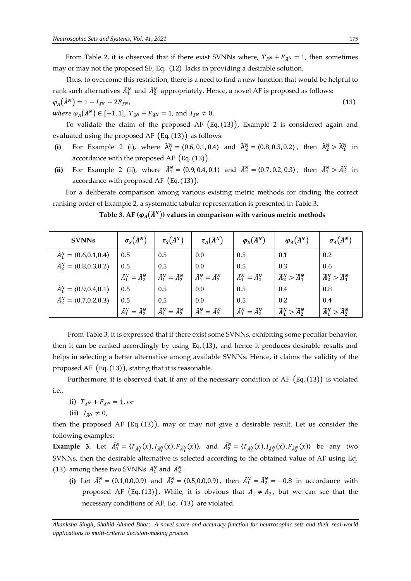From Table 2, it is observed that if there exist SVNNs where,  $T_{\tilde{A}^N} + F_{\tilde{A}^N} = 1$ , then sometimes may or may not the proposed SF, Eq. (12) lacks in providing a desirable solution.

Thus, to overcome this restriction, there is a need to find a new function that would be helpful to rank such alternatives  $\tilde{A}_1^N$  and  $\tilde{A}_2^N$  appropriately. Hence, a novel AF is proposed as follows:  $\varphi_A(\tilde{A}^N) = 1 - I_{\tilde{A}^N} - 2F_{\tilde{A}^N}$ , (13)

where  $\varphi_A(\tilde{A}^N) \in [-1, 1]$ ,  $T_{\tilde{A}^N} + F_{\tilde{A}^N} = 1$ , and  $I_{\tilde{A}^N} \neq 0$ .

To validate the claim of the proposed AF (Eq. (13)), Example 2 is considered again and evaluated using the proposed AF  $(Eq. (13))$  as follows:

- (i) For Example 2 (i), where  $\tilde{A}_1^N = \langle 0.6, 0.1, 0.4 \rangle$  and  $\tilde{A}_2^N = \langle 0.8, 0.3, 0.2 \rangle$ , then  $\tilde{A}_2^N > \tilde{A}_1^N$  in accordance with the proposed AF (Eq. (13)).
- (ii) For Example 2 (ii), where  $\tilde{A}_1^N = \langle 0.9, 0.4, 0.1 \rangle$  and  $\tilde{A}_2^N = \langle 0.7, 0.2, 0.3 \rangle$ , then  $\tilde{A}_1^N > \tilde{A}_2^N$  in accordance with proposed AF  $(Eq. (13))$ .

For a deliberate comparison among various existing metric methods for finding the correct ranking order of Example 2, a systematic tabular representation is presented in Table 3.

Table 3. AF ( $\varphi_A(\widetilde{A}^N)$ ) values in comparison with various metric methods

| <b>SVNNs</b>                                           | $\sigma_S(\widetilde{A}^N)$     | $\tau_{\mathcal{S}}(\widetilde{A}^{N})$ | $\tau_A(\widetilde{A}^N)$       | $\varphi_{S}(\widetilde{A}^{N})$ | $\varphi_A(\widetilde{A}^N)$            | $\sigma_A(\widetilde{A}^N)$             |  |
|--------------------------------------------------------|---------------------------------|-----------------------------------------|---------------------------------|----------------------------------|-----------------------------------------|-----------------------------------------|--|
| $\tilde{A}_1^N = \langle 0.6, 0.1, 0.4 \rangle$        | 0.5                             | 0.5                                     | 0.0                             | 0.5                              | 0.1                                     | 0.2                                     |  |
| $\tilde{A}_2^N = \langle 0.8, 0.3, 0.2 \rangle$<br>0.5 |                                 | 0.5                                     | 0.0                             | 0.5                              | 0.3                                     | 0.6                                     |  |
|                                                        | $\tilde{A}_1^N = \tilde{A}_2^N$ | $\tilde{A}_1^N = \tilde{A}_2^N$         | $\tilde{A}_1^N = \tilde{A}_2^N$ | $\tilde{A}_1^N = \tilde{A}_2^N$  | $\widetilde{A}_2^N > \widetilde{A}_1^N$ | $\widetilde{A}_2^N > \widetilde{A}_1^N$ |  |
| $\tilde{A}_1^N = \langle 0.9, 0.4, 0.1 \rangle$        | 0.5                             | 0.5                                     | 0.0                             | 0.5                              | 0.4                                     | 0.8                                     |  |
| $\tilde{A}_2^N = \langle 0.7, 0.2, 0.3 \rangle$        | 0.5                             | 0.5                                     | 0.0                             | 0.5                              | 0.2                                     | 0.4                                     |  |
|                                                        | $\tilde{A}_1^N = \tilde{A}_2^N$ | $\tilde{A}_1^N = \tilde{A}_2^N$         | $\tilde{A}_1^N = \tilde{A}_2^N$ | $\tilde{A}_1^N = \tilde{A}_2^N$  | $\widetilde{A}_1^N > \widetilde{A}_2^N$ | $\widetilde{A}_1^N > \widetilde{A}_2^N$ |  |

From Table 3, it is expressed that if there exist some SVNNs, exhibiting some peculiar behavior, then it can be ranked accordingly by using Eq. (13), and hence it produces desirable results and helps in selecting a better alternative among available SVNNs. Hence, it claims the validity of the proposed AF  $(Eq. (13))$ , stating that it is reasonable.

Furthermore, it is observed that, if any of the necessary condition of AF (Eq. (13)) is violated i.e.,

**(i)**  $T_{\tilde{A}^N} + F_{\tilde{A}^N} = 1$ , or

(ii)  $I_{\tilde{A}N} \neq 0$ ,

then the proposed AF  $(Eq. (13))$ , may or may not give a desirable result. Let us consider the following examples:

**Example 3.** Let  $\tilde{A}_1^N = \langle T_{\tilde{A}_1^N}(x), I_{\tilde{A}_1^N}(x), F_{\tilde{A}_1^N}(x) \rangle$ , and  $\tilde{A}_2^N = \langle T_{\tilde{A}_2^N}(x), I_{\tilde{A}_2^N}(x), F_{\tilde{A}_2^N}(x) \rangle$  be any two SVNNs, then the desirable alternative is selected according to the obtained value of AF using Eq. (13) among these two SVNNs  $\tilde{A}_1^N$  and  $\tilde{A}_2^N$ .

(i) Let  $\tilde{A}_1^N = \langle 0.1, 0.0, 0.9 \rangle$  and  $\tilde{A}_2^N = \langle 0.5, 0.0, 0.9 \rangle$ , then  $\tilde{A}_1^N = \tilde{A}_2^N = -0.8$  in accordance with proposed AF (Eq. (13)). While, it is obvious that  $A_1 \neq A_2$ , but we can see that the necessary conditions of AF, Eq. (13) are violated.

*Akanksha Singh, Shahid Ahmad Bhat; A novel score and accuracy function for neutrosophic sets and their real-world applications to multi-criteria decision-making process*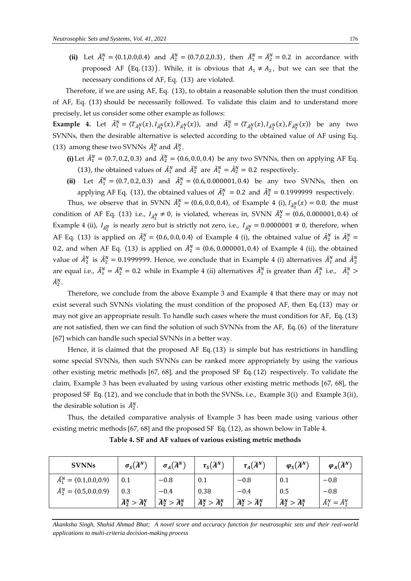(ii) Let  $\tilde{A}_1^N = \langle 0.1, 0.0, 0.4 \rangle$  and  $\tilde{A}_2^N = \langle 0.7, 0.2, 0.3 \rangle$ , then  $\tilde{A}_1^N = \tilde{A}_2^N = 0.2$  in accordance with proposed AF (Eq. (13)). While, it is obvious that  $A_1 \neq A_2$ , but we can see that the necessary conditions of AF, Eq. (13) are violated.

Therefore, if we are using AF, Eq. (13), to obtain a reasonable solution then the must condition of AF, Eq. (13) should be necessarily followed. To validate this claim and to understand more precisely, let us consider some other example as follows:

**Example 4.** Let  $\tilde{A}_1^N = \langle T_{\tilde{A}_1^N}(x), I_{\tilde{A}_1^N}(x), F_{\tilde{A}_1^N}(x) \rangle$ , and  $\tilde{A}_2^N = \langle T_{\tilde{A}_2^N}(x), I_{\tilde{A}_2^N}(x), F_{\tilde{A}_2^N}(x) \rangle$  be any two SVNNs, then the desirable alternative is selected according to the obtained value of AF using Eq. (13) among these two SVNNs  $\tilde{A}_1^N$  and  $\tilde{A}_2^N$ .

- **(i)** Let  $\tilde{A}_1^N = \langle 0.7, 0.2, 0.3 \rangle$  and  $\tilde{A}_2^N = \langle 0.6, 0.0, 0.4 \rangle$  be any two SVNNs, then on applying AF Eq. (13), the obtained values of  $\tilde{A}_1^N$  and  $\tilde{A}_2^N$  are  $\tilde{A}_1^N = \tilde{A}_2^N = 0.2$  respectively.
- (ii) Let  $\tilde{A}_1^N = \langle 0.7, 0.2, 0.3 \rangle$  and  $\tilde{A}_2^N = \langle 0.6, 0.000001, 0.4 \rangle$  be any two SVNNs, then on applying AF Eq. (13), the obtained values of  $\tilde{A}_1^N = 0.2$  and  $\tilde{A}_2^N = 0.1999999$  respectively.

Thus, we observe that in SVNN  $\tilde{A}_2^N = (0.6, 0.0, 0.4)$ , of Example 4 (i),  $I_{\tilde{A}_2^N}(x) = 0.0$ , the must condition of AF Eq. (13) i.e.,  $I_{\tilde{A}_2^N} \neq 0$ , is violated, whereas in, SVNN  $\tilde{A}_2^N = \langle 0.6, 0.000001, 0.4 \rangle$  of Example 4 (ii),  $I_{\tilde{A}_2^N}$  is nearly zero but is strictly not zero, i.e.,  $I_{\tilde{A}_2^N}=0.0000001\neq 0$ , therefore, when AF Eq. (13) is applied on  $\tilde{A}_2^N = \langle 0.6, 0.0, 0.4 \rangle$  of Example 4 (i), the obtained value of  $\tilde{A}_2^N$  is  $\tilde{A}_2^N =$ 0.2, and when AF Eq. (13) is applied on  $\tilde{A}_2^N = \langle 0.6, 0.000001, 0.4 \rangle$  of Example 4 (ii), the obtained value of  $\tilde{A}_2^N$  is  $\tilde{A}_2^N=0.1999999$ . Hence, we conclude that in Example 4 (i) alternatives  $\tilde{A}_1^N$  and  $\tilde{A}_2^N$ are equal i.e.,  $\tilde{A}_1^N=\tilde{A}_2^N=0.2$  while in Example 4 (ii) alternatives  $\tilde{A}_1^N$  is greater than  $\tilde{A}_2^N$  i.e.,  $\tilde{A}_1^N>0$  $\tilde{A}_2^N$ .

Therefore, we conclude from the above Example 3 and Example 4 that there may or may not exist several such SVNNs violating the must condition of the proposed AF, then Eq. (13) may or may not give an appropriate result. To handle such cases where the must condition for AF, Eq. (13) are not satisfied, then we can find the solution of such SVNNs from the AF, Eq. (6) of the literature [67] which can handle such special SVNNs in a better way.

Hence, it is claimed that the proposed AF Eq. (13) is simple but has restrictions in handling some special SVNNs, then such SVNNs can be ranked more appropriately by using the various other existing metric methods [67, 68], and the proposed SF Eq. (12) respectively. To validate the claim, Example 3 has been evaluated by using various other existing metric methods [67, 68], the proposed SF Eq. (12), and we conclude that in both the SVNSs, i.e., Example 3(i) and Example 3(ii), the desirable solution is  $\tilde{A}_2^N$ .

Thus, the detailed comparative analysis of Example 3 has been made using various other existing metric methods [67, 68] and the proposed SF Eq. (12), as shown below in Table 4.

| <b>SVNNs</b>                                           | $\sigma_S(\widetilde{A}^N)$             | $\sigma_A(\widetilde{A}^N)$             | $\tau_S(\widetilde{A}^N)$               | $\tau_A(\widetilde{A}^N)$               | $\varphi_S(\widetilde{A}^N)$            | $\varphi_A(\widetilde{A}^N)$    |
|--------------------------------------------------------|-----------------------------------------|-----------------------------------------|-----------------------------------------|-----------------------------------------|-----------------------------------------|---------------------------------|
| $\tilde{A}_1^N = \langle 0.1, 0.0, 0.9 \rangle$        | 0.1                                     | $-0.8$                                  | 0.1                                     | $-0.8$                                  | 0.1                                     | $-0.8$                          |
| $\tilde{A}_2^N = \langle 0.5, 0.0, 0.9 \rangle$<br>0.3 |                                         | $-0.4$                                  | 0.38                                    | $-0.4$                                  | 0.5                                     | $-0.8$                          |
|                                                        | $\widetilde{A}_2^N > \widetilde{A}_1^N$ | $\widetilde{A}_2^N > \widetilde{A}_1^N$ | $\widetilde{A}_2^N > \widetilde{A}_1^N$ | $\widetilde{A}_2^N > \widetilde{A}_1^N$ | $\widetilde{A}_2^N > \widetilde{A}_1^N$ | $\tilde{A}_1^N = \tilde{A}_2^N$ |

**Table 4. SF and AF values of various existing metric methods**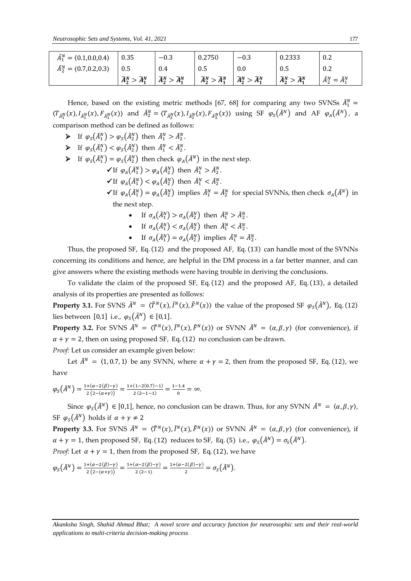| $\tilde{A}_1^N = \langle 0.1, 0.0, 0.4 \rangle$ | 0.35                                        | $-0.3$                                  | 0.2750                                  | $-0.3$                                  | 0.2333                                  | 0.2                             |
|-------------------------------------------------|---------------------------------------------|-----------------------------------------|-----------------------------------------|-----------------------------------------|-----------------------------------------|---------------------------------|
| $\tilde{A}_2^N = \langle 0.7, 0.2, 0.3 \rangle$ | 0.5                                         | 0.4                                     | 0.5                                     | $0.0\,$                                 | 0.5                                     | 0.2                             |
|                                                 | $>\widetilde{A}_1^N$<br>$\widetilde{A}_2^N$ | $\widetilde{A}_2^N > \widetilde{A}_1^N$ | $\widetilde{A}_2^N > \widetilde{A}_1^N$ | $\widetilde{A}_2^N > \widetilde{A}_1^N$ | $\widetilde{A}_2^N > \widetilde{A}_1^N$ | $\tilde{A}_2^N = \tilde{A}_1^N$ |

Hence, based on the existing metric methods [67, 68] for comparing any two SVNSs  $\tilde{A}_1^N =$  $\langle T_{\tilde{A}_1^N}(x), I_{\tilde{A}_1^N}(x), F_{\tilde{A}_1^N}(x) \rangle$  and  $\tilde{A}_2^N = \langle T_{\tilde{A}_2^N}(x), I_{\tilde{A}_2^N}(x), F_{\tilde{A}_2^N}(x) \rangle$  using SF  $\varphi_S(\tilde{A}^N)$  and AF  $\varphi_A(\tilde{A}^N)$ , a comparison method can be defined as follows:

- $\blacktriangleright$  If  $\varphi_S(\tilde{A}_1^N) > \varphi_S(\tilde{A}_2^N)$  then  $\tilde{A}_1^N > \tilde{A}_2^N$ .
- $\blacktriangleright$  If  $\varphi_S(\tilde{A}_1^N) < \varphi_S(\tilde{A}_2^N)$  then  $\tilde{A}_1^N < \tilde{A}_2^N$ .
- $\triangleright$  If  $\varphi_S(\tilde{A}_1^N) = \varphi_S(\tilde{A}_2^N)$  then check  $\varphi_A(\tilde{A}^N)$  in the next step.
	- $\checkmark$  If  $\varphi_A(\tilde{A}_1^N) > \varphi_A(\tilde{A}_2^N)$  then  $\tilde{A}_1^N > \tilde{A}_2^N$ .
	- $\checkmark$  If  $\varphi_A(\tilde{A}_1^N) < \varphi_A(\tilde{A}_2^N)$  then  $\tilde{A}_1^N < \tilde{A}_2^N$ .
	- $\checkmark$  If  $\varphi_A(\tilde{A}_1^N) = \varphi_A(\tilde{A}_2^N)$  implies  $\tilde{A}_1^N = \tilde{A}_2^N$  for special SVNNs, then check  $\sigma_A(\tilde{A}^N)$  in the next step.
		- If  $\sigma_A(\tilde{A}_1^N) > \sigma_A(\tilde{A}_2^N)$  then  $\tilde{A}_1^N > \tilde{A}_2^N$ .
		- If  $\sigma_A(\tilde{A}_1^N) < \sigma_A(\tilde{A}_2^N)$  then  $\tilde{A}_1^N < \tilde{A}_2^N$ .
		- If  $\sigma_A(\tilde{A}_1^N) = \sigma_A(\tilde{A}_2^N)$  implies  $\tilde{A}_1^N = \tilde{A}_2^N$ .

Thus, the proposed SF, Eq. (12) and the proposed AF, Eq. (13) can handle most of the SVNNs concerning its conditions and hence, are helpful in the DM process in a far better manner, and can give answers where the existing methods were having trouble in deriving the conclusions.

To validate the claim of the proposed SF, Eq. (12) and the proposed AF, Eq. (13), a detailed analysis of its properties are presented as follows:

**Property 3.1.** For SVNS  $\tilde{A}^N = \langle \tilde{T}^N(x), \tilde{I}^N(x), \tilde{F}^N(x) \rangle$  the value of the proposed SF  $\varphi_S(\tilde{A}^N)$ , Eq. (12) lies between [0,1] i.e.,  $\varphi_s(\tilde{A}^N) \in [0,1]$ .

**Property 3.2.** For SVNS  $\tilde{A}^N = \langle \tilde{T}^N(x), \tilde{I}^N(x), \tilde{F}^N(x) \rangle$  or SVNN  $\tilde{A}^N = \langle \alpha, \beta, \gamma \rangle$  (for convenience), if  $\alpha + \gamma = 2$ , then on using proposed SF, Eq. (12) no conclusion can be drawn.

*Proof:* Let us consider an example given below:

Let  $\tilde{A}^N = \langle 1, 0.7, 1 \rangle$  be any SVNN, where  $\alpha + \gamma = 2$ , then from the proposed SF, Eq. (12), we have

$$
\varphi_S(\tilde{A}^N) = \frac{1 + (\alpha - 2(\beta) - \gamma)}{2(2 - (\alpha + \gamma))} = \frac{1 + (1 - 2(0.7) - 1)}{2(2 - 1 - 1)} = \frac{1 - 1.4}{0} = \infty.
$$

Since  $\varphi_s(\tilde{A}^N) \in [0,1]$ , hence, no conclusion can be drawn. Thus, for any SVNN  $\tilde{A}^N = \langle \alpha, \beta, \gamma \rangle$ , SF  $\varphi_s(\tilde{A}^N)$  holds if  $\alpha + \gamma \neq 2$ 

**Property 3.3.** For SVNS  $\tilde{A}^N = \langle \tilde{T}^N(x), \tilde{I}^N(x), \tilde{F}^N(x) \rangle$  or SVNN  $\tilde{A}^N = \langle \alpha, \beta, \gamma \rangle$  (for convenience), if  $\alpha + \gamma = 1$ , then proposed SF, Eq. (12) reduces to SF, Eq. (5) i.e.,  $\varphi_S(\tilde{A}^N) = \sigma_S(\tilde{A}^N)$ . *Proof:* Let  $\alpha + \gamma = 1$ , then from the proposed SF, Eq. (12), we have

$$
\varphi_S(\tilde{A}^N) = \frac{1 + (\alpha - 2(\beta) - \gamma)}{2(2 - (\alpha + \gamma))} = \frac{1 + (\alpha - 2(\beta) - \gamma)}{2(2 - 1)} = \frac{1 + (\alpha - 2(\beta) - \gamma)}{2} = \sigma_S(\tilde{A}^N).
$$

*Akanksha Singh, Shahid Ahmad Bhat; A novel score and accuracy function for neutrosophic sets and their real-world applications to multi-criteria decision-making process*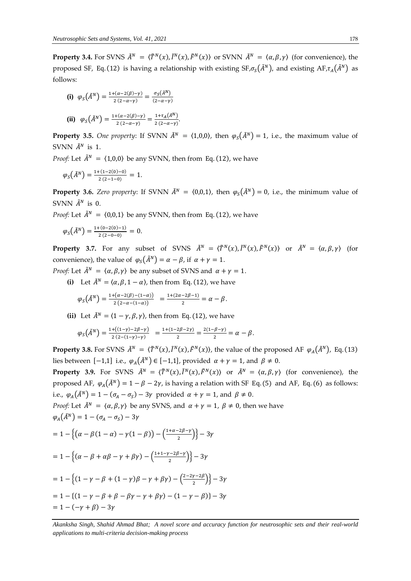**Property 3.4.** For SVNS  $\tilde{A}^N = \langle \tilde{T}^N(x), \tilde{I}^N(x), \tilde{F}^N(x) \rangle$  or SVNN  $\tilde{A}^N = \langle \alpha, \beta, \gamma \rangle$  (for convenience), the proposed SF, Eq. (12) is having a relationship with existing  $SF_{,\sigma_S}(\tilde{A}^N)$ , and existing  $AF_{,\tau_A}(\tilde{A}^N)$  as follows:

(i) 
$$
\varphi_S(\tilde{A}^N) = \frac{1 + (\alpha - 2(\beta) - \gamma)}{2(2 - \alpha - \gamma)} = \frac{\sigma_S(\tilde{A}^N)}{(2 - \alpha - \gamma)}
$$
  
\n(ii)  $\varphi_S(\tilde{A}^N) = \frac{1 + (\alpha - 2(\beta) - \gamma)}{2(2 - \alpha - \gamma)} = \frac{1 + \tau_A(\tilde{A}^N)}{2(2 - \alpha - \gamma)}$ .

**Property 3.5.** *One property*: If SVNN  $\tilde{A}^N = \langle 1,0,0 \rangle$ , then  $\varphi_s(\tilde{A}^N) = 1$ , i.e., the maximum value of SVNN  $\tilde{A}^N$  is 1.

*Proof:* Let  $\tilde{A}^N = \langle 1,0,0 \rangle$  be any SVNN, then from Eq. (12), we have

$$
\varphi_S\big(\tilde{A}^N\big)=\tfrac{1+(1-2(0)-0)}{2\,(2-1-0)}\,=\,1.
$$

**Property 3.6.** *Zero property*: If SVNN  $\tilde{A}^N = \langle 0,0,1 \rangle$ , then  $\varphi_S(\tilde{A}^N) = 0$ , i.e., the minimum value of SVNN  $\tilde{A}^N$  is 0.

*Proof:* Let  $\tilde{A}^N = \langle 0, 0, 1 \rangle$  be any SVNN, then from Eq. (12), we have

$$
\varphi_S(\tilde{A}^N)=\frac{1+(0-2(0)-1)}{2(2-0-0)}=0.
$$

**Property 3.7.** For any subset of SVNS  $\tilde{A}^N = \langle \tilde{T}^N(x), \tilde{I}^N(x), \tilde{F}^N(x) \rangle$  or  $\tilde{A}^N = \langle \alpha, \beta, \gamma \rangle$  (for convenience), the value of  $\varphi_s(\tilde{A}^N) = \alpha - \beta$ , if  $\alpha + \gamma = 1$ .

*Proof:* Let  $\tilde{A}^N = \langle \alpha, \beta, \gamma \rangle$  be any subset of SVNS and  $\alpha + \gamma = 1$ .

**(i)** Let  $\tilde{A}^N = \langle \alpha, \beta, 1 - \alpha \rangle$ , then from Eq. (12), we have

$$
\varphi_S\big(\tilde{A}^N\big)=\tfrac{\scriptstyle 1+\left(\alpha-2(\beta)-(1-\alpha)\right)}{\scriptstyle 2\left(2-\alpha-(1-\alpha)\right)}\quad=\tfrac{\scriptstyle 1+(2\alpha-2\beta-1)}{\scriptstyle 2}=\alpha-\beta.
$$

**(ii)** Let  $\tilde{A}^{N} = \langle 1 - \gamma, \beta, \gamma \rangle$ , then from Eq. (12), we have

$$
\varphi_S(\tilde{A}^N) = \frac{1 + ((1 - \gamma) - 2\beta - \gamma)}{2(2 - (1 - \gamma) - \gamma)} = \frac{1 + (1 - 2\beta - 2\gamma)}{2} = \frac{2(1 - \beta - \gamma)}{2} = \alpha - \beta.
$$

**Property 3.8.** For SVNS  $\tilde{A}^N = \langle \tilde{T}^N(x), \tilde{I}^N(x), \tilde{F}^N(x) \rangle$ , the value of the proposed AF  $\varphi_A(\tilde{A}^N)$ , Eq. (13) lies between [−1,1] i.e.,  $\varphi_A(\tilde{A}^N)$  ∈ [−1,1], provided  $\alpha + \gamma = 1$ , and  $\beta \neq 0$ .

**Property 3.9.** For SVNS  $\tilde{A}^N = \langle \tilde{T}^N(x), \tilde{I}^N(x), \tilde{F}^N(x) \rangle$  or  $\tilde{A}^N = \langle \alpha, \beta, \gamma \rangle$  (for convenience), the proposed AF,  $\varphi_A(\tilde{A}^N) = 1 - \beta - 2\gamma$ , is having a relation with SF Eq. (5) and AF, Eq. (6) as follows: i.e.,  $\varphi_A(\tilde{A}^N) = 1 - (\sigma_A - \sigma_S) - 3\gamma$  provided  $\alpha + \gamma = 1$ , and  $\beta \neq 0$ .

*Proof:* Let  $\tilde{A}^N = \langle \alpha, \beta, \gamma \rangle$  be any SVNS, and  $\alpha + \gamma = 1$ ,  $\beta \neq 0$ , then we have  $\varphi_A(\tilde{A}^N) = 1 - (\sigma_A - \sigma_S) - 3\gamma$ 

$$
= 1 - \left\{ \left( \alpha - \beta(1 - \alpha) - \gamma(1 - \beta) \right) - \left( \frac{1 + \alpha - 2\beta - \gamma}{2} \right) \right\} - 3\gamma
$$
  

$$
= 1 - \left\{ \left( \alpha - \beta + \alpha\beta - \gamma + \beta\gamma \right) - \left( \frac{1 + 1 - \gamma - 2\beta - \gamma}{2} \right) \right\} - 3\gamma
$$
  

$$
= 1 - \left\{ \left( 1 - \gamma - \beta + (1 - \gamma)\beta - \gamma + \beta\gamma \right) - \left( \frac{2 - 2\gamma - 2\beta}{2} \right) \right\} - 3\gamma
$$
  

$$
= 1 - \left\{ \left( 1 - \gamma - \beta + \beta - \beta\gamma - \gamma + \beta\gamma \right) - \left( 1 - \gamma - \beta \right) \right\} - 3\gamma
$$

 $= 1 - (-\gamma + \beta) - 3\gamma$ 

*Akanksha Singh, Shahid Ahmad Bhat; A novel score and accuracy function for neutrosophic sets and their real-world applications to multi-criteria decision-making process*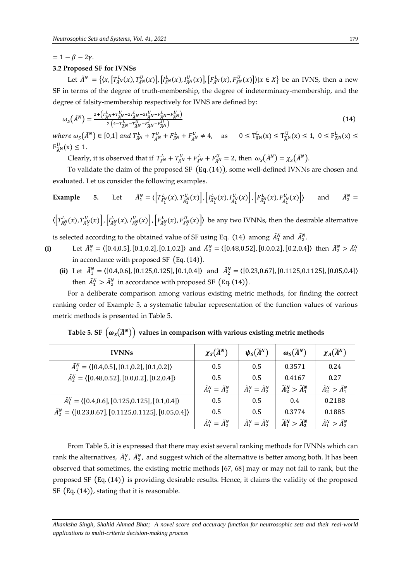## $= 1 - \beta - 2\nu$ .

## **3.2 Proposed SF for IVNSs**

Let  $\tilde{A}^N = \{(x, [T_{\tilde{A}^N}^L(x), T_{\tilde{A}^N}^U(x)], [I_{\tilde{A}^N}^L(x), I_{\tilde{A}^N}^U(x)], [F_{\tilde{A}^N}^L(x), F_{\tilde{A}^N}^U(x)]\}|x \in X\}$  be an IVNS, then a new SF in terms of the degree of truth-membership, the degree of indeterminacy-membership, and the degree of falsity-membership respectively for IVNS are defined by:

$$
\omega_{S}(\tilde{A}^{N}) = \frac{2 + \left(\frac{r_{A}^{L}}{A}N + \frac{r_{A}^{U}}{A}N - 2I_{A}^{L}N - 2I_{A}^{U}N - F_{A}^{L}N - F_{A}^{U}N\right)}{2\left(4 - r_{A}^{L}N - r_{A}^{U}N - F_{A}^{L}N - F_{A}^{U}N\right)}
$$
\n(14)

where  $\omega_{S}(\tilde{A}^{N}) \in [0,1]$  and  $T_{\tilde{A}^{N}}^{L} + T_{\tilde{A}^{N}}^{U} + F_{\tilde{A}^{N}}^{L} + F_{\tilde{A}^{N}}^{U} \neq 4$ , as  $0 \leq T_{\tilde{A}^{N}}^{L}(x) \leq T_{\tilde{A}^{N}}^{U}(x) \leq 1$ ,  $0 \leq F_{\tilde{A}^{N}}^{L}(x) \leq 1$  $\mathrm{F_{\widetilde{A}^N}^U}$  $(x) \leq 1$ .

Clearly, it is observed that if  $T_{\tilde{A}^N}^L + T_{\tilde{A}^N}^U + F_{\tilde{A}^N}^L + F_{\tilde{A}^N}^U = 2$ , then  $\omega_S(\tilde{A}^N) = \chi_S(\tilde{A}^N)$ .

To validate the claim of the proposed SF (Eq. (14)), some well-defined IVNNs are chosen and evaluated. Let us consider the following examples.

**Example** 5. Let 
$$
\tilde{A}_1^N = \langle \left[ T_{\tilde{A}_1^N}^L(x), T_{\tilde{A}_1^N}^U(x) \right], \left[ I_{\tilde{A}_1^N}^L(x), I_{\tilde{A}_1^N}^U(x) \right], \left[ F_{\tilde{A}_1^N}^L(x), F_{\tilde{A}_1^N}^U(x) \right] \rangle
$$
 and  $\tilde{A}_2^N =$ 

 $\langle \left[T_{\tilde{A}_{2}^{N}}^{L}(x),T_{\tilde{A}_{2}^{N}}^{U}(x)\right],\left[T_{\tilde{A}_{2}^{N}}^{L}(x),F_{\tilde{A}_{2}^{N}}^{U}(x)\right],\left[F_{\tilde{A}_{2}^{N}}^{L}(x),F_{\tilde{A}_{2}^{N}}^{U}(x)\right]\rangle$  be any two IVNNs, then the desirable alternative

is selected according to the obtained value of SF using Eq. (14) among  $\tilde{A}_1^N$  and  $\tilde{A}_2^N$ .

- (i) Let  $\tilde{A}_1^N = \langle [0.4, 0.5], [0.1, 0.2], [0.1, 0.2] \rangle$  and  $\tilde{A}_2^N = \langle [0.48, 0.52], [0.0, 0.2], [0.2, 0.4] \rangle$  then  $\tilde{A}_2^N > \tilde{A}_1^N$ in accordance with proposed SF  $(Eq. (14))$ .
	- (ii) Let  $\tilde{A}_1^N = \{ [0.4, 0.6], [0.125, 0.125], [0.1, 0.4] \}$  and  $\tilde{A}_2^N = \{ [0.23, 0.67], [0.1125, 0.1125], [0.05, 0.4] \}$ then  $\tilde{A}_1^N > \tilde{A}_2^N$  in accordance with proposed SF (Eq. (14)).

For a deliberate comparison among various existing metric methods, for finding the correct ranking order of Example 5, a systematic tabular representation of the function values of various metric methods is presented in Table 5.

| <b>IVNNs</b>                                                                  | $\chi_{S}(\widetilde{A}^{N})$   | $\psi_{S}(\widetilde{A}^{N})$   | $\omega_{\mathcal{S}}(\widetilde{A}^{N})$ | $\chi_A(\widetilde{A}^N)$       |
|-------------------------------------------------------------------------------|---------------------------------|---------------------------------|-------------------------------------------|---------------------------------|
| $\tilde{A}_1^N = \langle [0.4, 0.5], [0.1, 0.2], [0.1, 0.2] \rangle$          | 0.5                             | 0.5                             | 0.3571                                    | 0.24                            |
| $\tilde{A}_2^N = \langle [0.48, 0.52], [0.0, 0.2], [0.2, 0.4] \rangle$        | 0.5                             | 0.5                             | 0.4167                                    | 0.27                            |
|                                                                               | $\tilde{A}_1^N = \tilde{A}_2^N$ | $\tilde{A}_1^N = \tilde{A}_2^N$ | $\widetilde{A}_2^N > \widetilde{A}_1^N$   | $\tilde{A}_2^N > \tilde{A}_1^N$ |
| $\tilde{A}_1^N = \langle [0.4, 0.6], [0.125, 0.125], [0.1, 0.4] \rangle$      | 0.5                             | 0.5                             | 0.4                                       | 0.2188                          |
| $\tilde{A}_2^N = \langle [0.23, 0.67], [0.1125, 0.1125], [0.05, 0.4] \rangle$ | 0.5                             | 0.5                             | 0.3774                                    | 0.1885                          |
|                                                                               | $\tilde{A}_1^N = \tilde{A}_2^N$ | $\tilde{A}_1^N = \tilde{A}_2^N$ | $\widetilde{A}_1^N > \widetilde{A}_2^N$   | $\tilde{A}_1^N > \tilde{A}_2^N$ |

| Table 5. SF $(\omega_s(\tilde{A}^N))$ values in comparison with various existing metric methods |  |  |  |  |  |  |  |  |
|-------------------------------------------------------------------------------------------------|--|--|--|--|--|--|--|--|
|-------------------------------------------------------------------------------------------------|--|--|--|--|--|--|--|--|

From Table 5, it is expressed that there may exist several ranking methods for IVNNs which can rank the alternatives,  $\tilde{A}^N_1$ ,  $\tilde{A}^N_2$ , and suggest which of the alternative is better among both. It has been observed that sometimes, the existing metric methods [67, 68] may or may not fail to rank, but the proposed SF (Eq. (14)) is providing desirable results. Hence, it claims the validity of the proposed SF (Eq. (14)), stating that it is reasonable.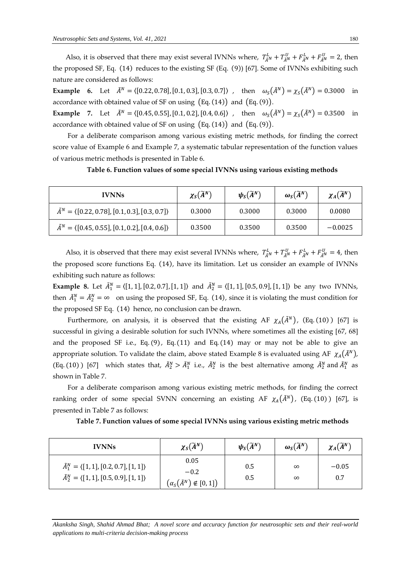Also, it is observed that there may exist several IVNNs where,  $T_{\tilde{A}^N}^L + T_{\tilde{A}^N}^U + F_{\tilde{A}^N}^L + F_{\tilde{A}^N}^U = 2$ , then the proposed SF, Eq. (14) reduces to the existing SF (Eq. (9)) [67]. Some of IVNNs exhibiting such nature are considered as follows:

**Example 6.** Let  $\tilde{A}^N = \{ [0.22, 0.78], [0.1, 0.3], [0.3, 0.7] \}$ , then  $\omega_s(\tilde{A}^N) = \chi_s(\tilde{A}^N) = 0.3000$  in accordance with obtained value of SF on using  $(Eq. (14))$  and  $(Eq. (9))$ .

**Example 7.** Let  $\tilde{A}^N = \langle [0.45, 0.55], [0.1, 0.2], [0.4, 0.6] \rangle$ , then  $\omega_s(\tilde{A}^N) = \chi_s(\tilde{A}^N) = 0.3500$  in accordance with obtained value of SF on using  $(Eq. (14))$  and  $(Eq. (9))$ .

For a deliberate comparison among various existing metric methods, for finding the correct score value of Example 6 and Example 7, a systematic tabular representation of the function values of various metric methods is presented in Table 6.

| <b>IVNNs</b>                                                         | $\chi_{S}(\widetilde{A}^{N})$ | $\psi_{S}(\widetilde{A}^{N})$ | $\omega_{\mathcal{S}}(\widetilde{A}^N)$ | $\chi_A(\widetilde{A}^N)$ |
|----------------------------------------------------------------------|-------------------------------|-------------------------------|-----------------------------------------|---------------------------|
| $\tilde{A}^N = \langle [0.22, 0.78], [0.1, 0.3], [0.3, 0.7] \rangle$ | 0.3000                        | 0.3000                        | 0.3000                                  | 0.0080                    |
| $\tilde{A}^N = \langle [0.45, 0.55], [0.1, 0.2], [0.4, 0.6] \rangle$ | 0.3500                        | 0.3500                        | 0.3500                                  | $-0.0025$                 |

**Table 6. Function values of some special IVNNs using various existing methods**

Also, it is observed that there may exist several IVNNs where,  $T_{\tilde{A}^N}^L + T_{\tilde{A}^N}^U + F_{\tilde{A}^N}^L + F_{\tilde{A}^N}^U = 4$ , then the proposed score functions Eq. (14), have its limitation. Let us consider an example of IVNNs exhibiting such nature as follows:

**Example 8.** Let  $\tilde{A}_1^N = \langle [1, 1], [0.2, 0.7], [1, 1] \rangle$  and  $\tilde{A}_2^N = \langle [1, 1], [0.5, 0.9], [1, 1] \rangle$  be any two IVNNs, then  $\tilde{A}_1^N = \tilde{A}_2^N = \infty$  on using the proposed SF, Eq. (14), since it is violating the must condition for the proposed SF Eq. (14) hence, no conclusion can be drawn.

Furthermore, on analysis, it is observed that the existing AF  $\chi_A(\tilde{A}^N)$ , (Eq. (10) ) [67] is successful in giving a desirable solution for such IVNNs, where sometimes all the existing [67, 68] and the proposed SF i.e., Eq.  $(9)$ , Eq.  $(11)$  and Eq.  $(14)$  may or may not be able to give an appropriate solution. To validate the claim, above stated Example 8 is evaluated using AF  $\chi_A(\tilde{A}^N)$ , (Eq. (10) ) [67] which states that,  $\tilde{A}_2^N > \tilde{A}_1^N$  i.e.,  $\tilde{A}_2^N$  is the best alternative among  $\tilde{A}_2^N$  and  $\tilde{A}_1^N$  as shown in Table 7.

For a deliberate comparison among various existing metric methods, for finding the correct ranking order of some special SVNN concerning an existing AF  $\chi_A(\tilde{A}^N)$ , (Eq. (10) ) [67], is presented in Table 7 as follows:

|  |  |  |  |  |  | Table 7. Function values of some special IVNNs using various existing metric methods |  |  |  |
|--|--|--|--|--|--|--------------------------------------------------------------------------------------|--|--|--|
|  |  |  |  |  |  |                                                                                      |  |  |  |

| <b>IVNNs</b>                                                                                                             | $\chi_{S}(\widetilde{A}^{N})$                            | $\psi_{\mathcal{S}}(\widetilde{A}^N)$ | $\omega_{\rm S}(\widetilde{A}^N)$ | $\chi_A(\widetilde{A}^N)$ |
|--------------------------------------------------------------------------------------------------------------------------|----------------------------------------------------------|---------------------------------------|-----------------------------------|---------------------------|
| $\tilde{A}_1^N = \langle [1,1], [0.2, 0.7], [1,1] \rangle$<br>$\tilde{A}_2^N = \langle [1,1], [0.5, 0.9], [1,1] \rangle$ | 0.05<br>$-0.2$<br>$(\alpha_S(\tilde{A}^N) \notin [0,1])$ | 0.5<br>0.5                            | $\infty$<br>$\infty$              | $-0.05$<br>0.7            |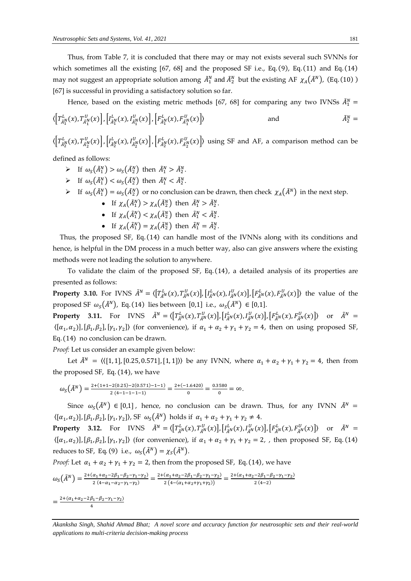Thus, from Table 7, it is concluded that there may or may not exists several such SVNNs for which sometimes all the existing [67, 68] and the proposed SF i.e., Eq. (9), Eq. (11) and Eq. (14) may not suggest an appropriate solution among  $\tilde{A}_1^N$  and  $\tilde{A}_2^N$  but the existing AF  $\chi_A(\tilde{A}^N)$ , (Eq. (10)) [67] is successful in providing a satisfactory solution so far.

Hence, based on the existing metric methods [67, 68] for comparing any two IVNSs  $\tilde{A}_1^N =$ 

$$
\langle \left[T_{\tilde{A}_1^N}^L(x), T_{\tilde{A}_1^N}^U(x)\right], \left[I_{\tilde{A}_1^N}^L(x), I_{\tilde{A}_1^N}^U(x)\right], \left[F_{\tilde{A}_1^N}^L(x), F_{\tilde{A}_1^N}^U(x)\right] \rangle \qquad \text{and} \qquad \tilde{A}_2^N =
$$

 $\langle \left[T_{\tilde{A}_{2}^{N}}^{L}(x),T_{\tilde{A}_{2}^{N}}^{U}(x)\right],\left[T_{\tilde{A}_{2}^{N}}^{L}(x),F_{\tilde{A}_{2}^{N}}^{U}(x)\right],\left[F_{\tilde{A}_{2}^{N}}^{L}(x),F_{\tilde{A}_{2}^{N}}^{U}(x)\right]\rangle$  using SF and AF, a comparison method can be

defined as follows:

- $\triangleright$  If  $\omega_S(\tilde{A}_1^N) > \omega_S(\tilde{A}_2^N)$  then  $\tilde{A}_1^N > \tilde{A}_2^N$ .
- $\triangleright$  If  $\omega_S(\tilde{A}_1^N) < \omega_S(\tilde{A}_2^N)$  then  $\tilde{A}_1^N < \tilde{A}_2^N$ .
- $\triangleright$  If  $\omega_s(\tilde{A}_1^N) = \omega_s(\tilde{A}_2^N)$  or no conclusion can be drawn, then check  $\chi_A(\tilde{A}^N)$  in the next step.
	- If  $\chi_A(\tilde{A}_1^N) > \chi_A(\tilde{A}_2^N)$  then  $\tilde{A}_1^N > \tilde{A}_2^N$ .
	- If  $\chi_A(\tilde{A}_1^N) < \chi_A(\tilde{A}_2^N)$  then  $\tilde{A}_1^N < \tilde{A}_2^N$ .
	- If  $\chi_A(\tilde{A}_1^N) = \chi_A(\tilde{A}_2^N)$  then  $\tilde{A}_1^N = \tilde{A}_2^N$ .

Thus, the proposed SF, Eq. (14) can handle most of the IVNNs along with its conditions and hence, is helpful in the DM process in a much better way, also can give answers where the existing methods were not leading the solution to anywhere.

To validate the claim of the proposed SF, Eq. (14), a detailed analysis of its properties are presented as follows:

**Property 3.10.** For IVNS  $\tilde{A}^{N} = \langle [T_{\tilde{A}^{N}}^{L}(x), T_{\tilde{A}^{N}}^{U}(x)], [I_{\tilde{A}^{N}}^{L}(x), I_{\tilde{A}^{N}}^{U}(x)], [F_{\tilde{A}^{N}}^{L}(x), F_{\tilde{A}^{N}}^{U}(x)] \rangle$  the value of the proposed SF  $\omega_s(\tilde{A}^N)$ , Eq. (14) lies between [0,1] i.e.,  $\omega_s(\tilde{A}^N) \in [0,1]$ .

**Property 3.11.** For IVNS  $\tilde{A}^N = \langle \left[T_{\tilde{A}^N}^L(x), T_{\tilde{A}^N}^U(x)\right], \left[I_{\tilde{A}^N}^L(x), I_{\tilde{A}^N}^U(x)\right], \left[F_{\tilde{A}^N}^L(x), F_{\tilde{A}^N}^U(x)\right] \rangle$  or  $\tilde{A}^N =$  $\langle [\alpha_1, \alpha_2], [\beta_1, \beta_2], [\gamma_1, \gamma_2] \rangle$  (for convenience), if  $\alpha_1 + \alpha_2 + \gamma_1 + \gamma_2 = 4$ , then on using proposed SF, Eq. (14) no conclusion can be drawn.

*Proof:* Let us consider an example given below:

Let  $\tilde{A}^N = \langle \langle [1, 1], [0.25, 0.571], [1, 1] \rangle \rangle$  be any IVNN, where  $\alpha_1 + \alpha_2 + \gamma_1 + \gamma_2 = 4$ , then from the proposed SF, Eq. (14), we have

$$
\omega_{S}(\tilde{A}^{N}) = \frac{2 + (1 + 1 - 2(0.25) - 2(0.571) - 1 - 1)}{2(4 - 1 - 1 - 1 - 1)} = \frac{2 + (-1.6420)}{0} = \frac{0.3580}{0} = \infty.
$$

Since  $\omega_s(\tilde{A}^N) \in [0,1]$ , hence, no conclusion can be drawn. Thus, for any IVNN  $\tilde{A}^N$  =  $\langle [\alpha_1, \alpha_2], [\beta_1, \beta_2], [\gamma_1, \gamma_2] \rangle$ , SF  $\omega_s(\tilde{A}^N)$  holds if  $\alpha_1 + \alpha_2 + \gamma_1 + \gamma_2 \neq 4$ .

**Property 3.12.** For IVNS  $\tilde{A}^{N} = \langle \left[ T^{L}_{\tilde{A}^{N}}(x), T^{U}_{\tilde{A}^{N}}(x) \right], \left[ I^{L}_{\tilde{A}^{N}}(x), I^{U}_{\tilde{A}^{N}}(x) \right], \left[ F^{L}_{\tilde{A}^{N}}(x), F^{U}_{\tilde{A}^{N}}(x) \right] \rangle$  or  $\tilde{A}^{N} =$  $\langle [\alpha_1,\alpha_2]],[\beta_1,\beta_2],[\gamma_1,\gamma_2]\rangle$  (for convenience), if  $\alpha_1+\alpha_2+\gamma_1+\gamma_2=2$ , then proposed SF, Eq. (14) reduces to SF, Eq. (9) i.e.,  $\omega_s(\tilde{A}^N) = \chi_s(\tilde{A}^N)$ .

*Proof:* Let  $\alpha_1 + \alpha_2 + \gamma_1 + \gamma_2 = 2$ , then from the proposed SF, Eq. (14), we have

$$
\omega_{S}(\tilde{A}^{N}) = \frac{2 + (\alpha_{1} + \alpha_{2} - 2\beta_{1} - \beta_{2} - \gamma_{1} - \gamma_{2})}{2(4 - \alpha_{1} - \alpha_{2} - \gamma_{1} - \gamma_{2})} = \frac{2 + (\alpha_{1} + \alpha_{2} - 2\beta_{1} - \beta_{2} - \gamma_{1} - \gamma_{2})}{2(4 - (\alpha_{1} + \alpha_{2} + \gamma_{1} + \gamma_{2}))} = \frac{2 + (\alpha_{1} + \alpha_{2} - 2\beta_{1} - \beta_{2} - \gamma_{1} - \gamma_{2})}{2(4 - 2)}
$$

 $=\frac{2+(\alpha_1+\alpha_2-2\beta_1-\beta_2-\gamma_1-\gamma_2)}{4}$ 4

*Akanksha Singh, Shahid Ahmad Bhat; A novel score and accuracy function for neutrosophic sets and their real-world applications to multi-criteria decision-making process*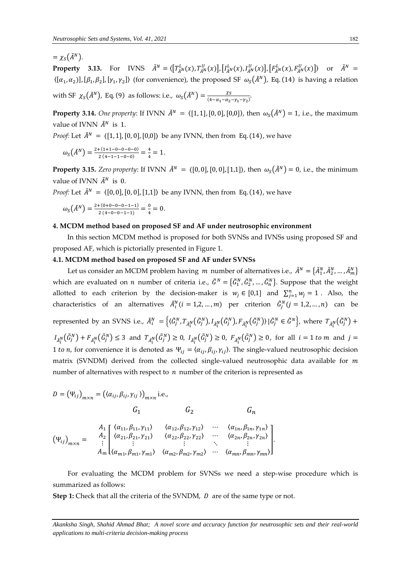$=\gamma_{S}(\tilde{A}^{N}).$ 

**Property 3.13.** For IVNS  $\tilde{A}^{N} = \langle \left[ T_{\tilde{A}^{N}}^{L}(x), T_{\tilde{A}^{N}}^{U}(x) \right], \left[ I_{\tilde{A}^{N}}^{L}(x), I_{\tilde{A}^{N}}^{U}(x) \right], \left[ F_{\tilde{A}^{N}}^{L}(x), F_{\tilde{A}^{N}}^{U}(x) \right] \rangle$  or  $\tilde{A}^{N} =$  $\langle [\alpha_1,\alpha_2]],[\beta_1,\beta_2],[\gamma_1,\gamma_2]\rangle$  (for convenience), the proposed SF  $\omega_s(\tilde{A}^N)$ , Eq. (14) is having a relation

with SF  $\chi_{S}(\tilde{A}^{N})$ , Eq. (9) as follows: i.e.,  $\omega_{S}(\tilde{A}^{N}) = \frac{\chi_{S}}{(4-\alpha - \alpha)}$  $\frac{\lambda S}{(4-\alpha_1-\alpha_2-\gamma_1-\gamma_2)}$ 

**Property 3.14.** *One property*: If IVNN  $\tilde{A}^N = \langle [1, 1], [0, 0], [0, 0] \rangle$ , then  $\omega_s(\tilde{A}^N) = 1$ , i.e., the maximum value of IVNN  $\tilde{A}^N$  is 1.

*Proof:* Let  $\tilde{A}^{N} = \{ [1, 1], [0, 0], [0, 0] \}$  be any IVNN, then from Eq. (14), we have

$$
\omega_{S}(\tilde{A}^{N}) = \frac{2 + (1 + 1 - 0 - 0 - 0 - 0)}{2(4 - 1 - 1 - 0 - 0)} = \frac{4}{4} = 1.
$$

**Property 3.15.** *Zero property*: If IVNN  $\tilde{A}^N = \{[0,0], [0,0], [1,1]\}$ , then  $\omega_s(\tilde{A}^N) = 0$ , i.e., the minimum value of IVNN  $\tilde{A}^N$  is 0.

*Proof:* Let  $\tilde{A}^N = \langle [0, 0], [0, 0], [1, 1] \rangle$  be any IVNN, then from Eq. (14), we have

$$
\omega_{S}(\tilde{A}^{N}) = \frac{2 + (0 + 0 - 0 - 0 - 1 - 1)}{2(4 - 0 - 0 - 1 - 1)} = \frac{0}{4} = 0.
$$

#### **4. MCDM method based on proposed SF and AF under neutrosophic environment**

In this section MCDM method is proposed for both SVNSs and IVNSs using proposed SF and proposed AF, which is pictorially presented in Figure 1.

## **4.1. MCDM method based on proposed SF and AF under SVNSs**

Let us consider an MCDM problem having  $m$  number of alternatives i.e.,  $\tilde{A}^N = \{\tilde{A}^N_1, \tilde{A}^N_2, ..., \tilde{A}^N_m\}$ which are evaluated on *n* number of criteria i.e.,  $\tilde{G}^N = \{\tilde{G}^N_1, \tilde{G}^N_2, ..., \tilde{G}^N_n\}$ . Suppose that the weight allotted to each criterion by the decision-maker is  $w_j \in [0,1]$  and  $\sum_{j=1}^n w_j = 1$ . Also, the characteristics of an alternatives  $\tilde{A}_i^N(i = 1, 2, ..., m)$  per criterion  $\tilde{G}_j^N(j = 1, 2, ..., n)$  can be represented by an SVNS i.e.,  $\tilde{A}_i^N = \left\{(\tilde{G}_j^N, T_{\tilde{A}_i^N}(\tilde{G}_j^N), I_{\tilde{A}_i^N}(\tilde{G}_j^N), F_{\tilde{A}_i^N}(\tilde{G}_j^N)\right\} | \tilde{G}_j^N \in \tilde{G}^N\right\}$ , where  $T_{\tilde{A}_i^N}(\tilde{G}_j^N) +$  $I_{\tilde{A}_i^N}(\tilde{G}_j^N) + F_{\tilde{A}_i^N}(\tilde{G}_j^N) \leq 3$  and  $T_{\tilde{A}_i^N}(\tilde{G}_j^N) \geq 0$ ,  $I_{\tilde{A}_i^N}(\tilde{G}_j^N) \geq 0$ ,  $F_{\tilde{A}_i^N}(\tilde{G}_j^N) \geq 0$ , for all  $i = 1$  to m and  $j = 1$ 1 to *n*, for convenience it is denoted as  $\Psi_{ij} = \langle \alpha_{ij}, \beta_{ij}, \gamma_{ij} \rangle$ . The single-valued neutrosophic decision matrix (SVNDM) derived from the collected single-valued neutrosophic data available for  $m$ number of alternatives with respect to  $n$  number of the criterion is represented as

$$
D = (\Psi_{ij})_{m \times n} = ((\alpha_{ij}, \beta_{ij}, \gamma_{ij}))_{m \times n} \text{ i.e.,}
$$
  

$$
G_1 \qquad G_2 \qquad G_n
$$

$$
\left(\Psi_{ij}\right)_{m\times n} = \begin{pmatrix} A_1 & \langle \alpha_{11}, \beta_{11}, \gamma_{11} \rangle & \langle \alpha_{12}, \beta_{12}, \gamma_{12} \rangle & \cdots & \langle \alpha_{1n}, \beta_{1n}, \gamma_{1n} \rangle \\ A_2 & \langle \alpha_{21}, \beta_{21}, \gamma_{21} \rangle & \langle \alpha_{22}, \beta_{22}, \gamma_{22} \rangle & \cdots & \langle \alpha_{2n}, \beta_{2n}, \gamma_{2n} \rangle \\ \vdots & \vdots & \ddots & \vdots \\ A_m & \langle \alpha_{m1}, \beta_{m1}, \gamma_{m1} \rangle & \langle \alpha_{m2}, \beta_{m2}, \gamma_{m2} \rangle & \cdots & \langle \alpha_{mn}, \beta_{mn}, \gamma_{mn} \rangle \end{pmatrix}.
$$

For evaluating the MCDM problem for SVNSs we need a step-wise procedure which is summarized as follows:

**Step 1:** Check that all the criteria of the SVNDM, *D* are of the same type or not.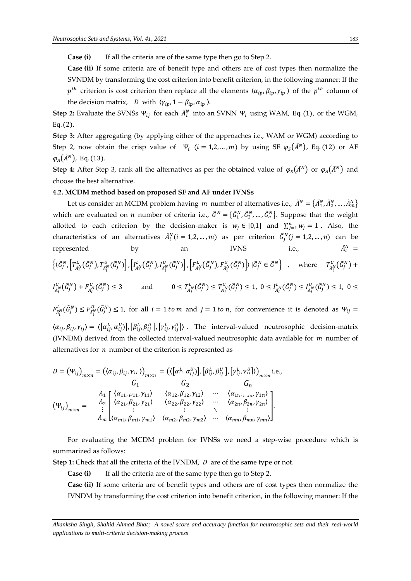**Case (i)** If all the criteria are of the same type then go to Step 2.

**Case (ii)** If some criteria are of benefit type and others are of cost types then normalize the SVNDM by transforming the cost criterion into benefit criterion, in the following manner: If the  $p^{th}$  criterion is cost criterion then replace all the elements  $\langle \alpha_{ip}, \beta_{ip}, \gamma_{ip} \rangle$  of the  $p^{th}$  column of the decision matrix, *D* with  $\langle \gamma_{ip}, 1 - \beta_{ip}, \alpha_{ip} \rangle$ .

**Step 2:** Evaluate the SVNSs  $\Psi_{ij}$  for each  $\tilde{A}_i^N$  into an SVNN  $\Psi_i$  using WAM, Eq. (1), or the WGM, Eq. (2).

**Step 3:** After aggregating (by applying either of the approaches i.e., WAM or WGM) according to Step 2, now obtain the crisp value of  $\Psi_i$  ( $i = 1, 2, ..., m$ ) by using SF  $\varphi_s(\tilde{A}^N)$ , Eq. (12) or AF  $\varphi_A(\tilde{A}^N)$ , Eq. (13).

**Step 4:** After Step 3, rank all the alternatives as per the obtained value of  $\varphi_S(\tilde{A}^N)$  or  $\varphi_A(\tilde{A}^N)$  and choose the best alternative.

#### **4.2. MCDM method based on proposed SF and AF under IVNSs**

Let us consider an MCDM problem having  $m$  number of alternatives i.e.,  $\tilde{A}^N = \{\tilde{A}^N_1, \tilde{A}^N_2, ..., \tilde{A}^N_m\}$ which are evaluated on *n* number of criteria i.e.,  $\tilde{G}^N = \{\tilde{G}^N_1, \tilde{G}^N_2, ..., \tilde{G}^N_n\}$ . Suppose that the weight allotted to each criterion by the decision-maker is  $w_j \in [0,1]$  and  $\sum_{j=1}^n w_j = 1$ . Also, the characteristics of an alternatives  $\tilde{A}_i^N(i = 1, 2, ..., m)$  as per criterion  $\tilde{G}_j^N(j = 1, 2, ..., n)$  can be represented by an IVNS i.e.,  $\tilde{A}$  $i^N$  =  $\Big\{\langle\tilde{G}^N_j, \Big\vert T^L_{\tilde{A}^N_l}(\tilde{G}^N_j), T^U_{\tilde{A}^N_l}(\tilde{G}^N_j)\Big\vert , \Big\vert I^L_{\tilde{A}^N_l}(\tilde{G}^N_j), I^U_{\tilde{A}^N_l}(\tilde{G}^N_j)\Big\vert , \Big\vert F^L_{\tilde{A}^N_l}(\tilde{G}^N_j), F^U_{\tilde{A}^N_l}(\tilde{G}^N_j)\Big\vert \rangle \, \vert \tilde{G}^N_j \in \tilde{G}^N \Big\} \quad , \quad \text{where$  $I_{\tilde{A}_i^N}^J(\tilde{G}_j^N) + F_{\tilde{A}_i^N}^J(\tilde{G}_j^N) \leq 3$  and  $0 \leq T_{\tilde{A}}^J$  $L^L_{\tilde{A}^N_i}(\tilde{G}^N_j) \le T^U_{\tilde{A}^N_i}(\tilde{G}^N_j) \le 1, 0 \le I^L_{\tilde{A}^N_i}(\tilde{G}^N_j) \le I^U_{\tilde{A}^N_i}(\tilde{G}^N_j) \le 1, 0 \le$  $F_{\tilde{A}_{i}^{N}}^{L}(\tilde{G}_{j}^{N}) \leq F_{\tilde{A}_{i}^{N}}^{U}(\tilde{G}_{j}^{N}) \leq 1$ , for all  $i = 1$  to m and  $j = 1$  to n, for convenience it is denoted as  $\Psi_{ij} =$ 

 $\langle \alpha_{ij}, \beta_{ij}, \gamma_{ij} \rangle = \langle [\alpha_{ij}^L, \alpha_{ij}^U], [\beta_{ij}^L, \beta_{ij}^U], [\gamma_{ij}^L, \gamma_{ij}^U] \rangle$ . The interval-valued neutrosophic decision-matrix (IVNDM) derived from the collected interval-valued neutrosophic data available for  $m$  number of alternatives for  $n$  number of the criterion is represented as

$$
D = (\Psi_{ij})_{m \times n} = (\langle \alpha_{ij}, \beta_{ij}, \nu, \cdot \rangle)_{m \times n} = (\langle [\alpha_{i}^{L}, \alpha_{ij}^{U}] \rangle, [\beta_{ij}^{L}, \beta_{ij}^{U}], [\gamma_{i}^{L}, \nu, \cdot \rangle]_{m \times n} \text{ i.e.,}
$$
  
\n
$$
G_{1} \t G_{2} \t G_{n}
$$
  
\n
$$
(\Psi_{ij})_{m \times n} = \begin{cases} A_{1} \{\alpha_{11}, \mu_{11}, \gamma_{11}\} & \langle \alpha_{12}, \beta_{12}, \gamma_{12} \rangle & \cdots & \langle \alpha_{1n}, \gamma_{1n} \rangle \\ \langle \alpha_{21}, \beta_{21}, \gamma_{21} \rangle & \langle \alpha_{22}, \beta_{22}, \gamma_{22} \rangle & \cdots & \langle \alpha_{2n}, \beta_{2n}, \gamma_{2n} \rangle \\ \vdots & \vdots & \ddots & \vdots \\ A_{m} \lfloor \langle \alpha_{m1}, \beta_{m1}, \gamma_{m1} \rangle & \langle \alpha_{m2}, \beta_{m2}, \gamma_{m2} \rangle & \cdots & \langle \alpha_{mn}, \beta_{mn}, \gamma_{mn} \rangle \end{cases}
$$

For evaluating the MCDM problem for IVNSs we need a step-wise procedure which is summarized as follows:

**Step 1:** Check that all the criteria of the IVNDM, *D* are of the same type or not.

**Case (i)** If all the criteria are of the same type then go to Step 2.

**Case (ii)** If some criteria are of benefit types and others are of cost types then normalize the IVNDM by transforming the cost criterion into benefit criterion, in the following manner: If the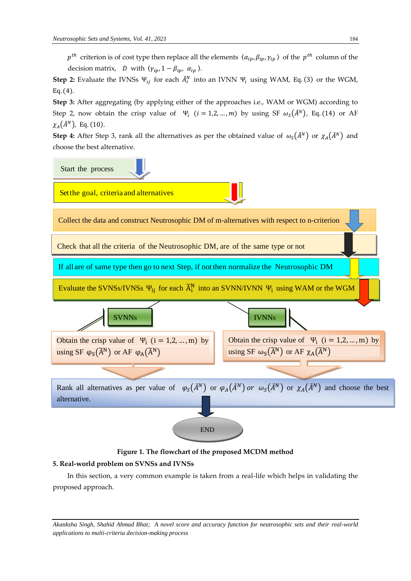$p^{th}$  criterion is of cost type then replace all the elements  $\langle \alpha_{ip}, \beta_{ip}, \gamma_{ip} \rangle$  of the  $p^{th}$  column of the decision matrix, *D* with  $\langle \gamma_{ip}, 1 - \beta_{ip}, \alpha_{ip} \rangle$ .

**Step 2:** Evaluate the IVNSs  $\Psi_{ij}$  for each  $\tilde{A}_i^N$  into an IVNN  $\Psi_i$  using WAM, Eq. (3) or the WGM, Eq. (4).

**Step 3:** After aggregating (by applying either of the approaches i.e., WAM or WGM) according to Step 2, now obtain the crisp value of  $\Psi_i$  ( $i = 1, 2, ..., m$ ) by using SF  $\omega_s(\tilde{A}^N)$ , Eq. (14) or AF  $\chi_A(\tilde{A}^N)$ , Eq. (10).

**Step 4:** After Step 3, rank all the alternatives as per the obtained value of  $\omega_s(\tilde{A}^N)$  or  $\chi_A(\tilde{A}^N)$  and choose the best alternative.



**Figure 1. The flowchart of the proposed MCDM method** 

### **5. Real-world problem on SVNSs and IVNSs**

In this section, a very common example is taken from a real-life which helps in validating the proposed approach.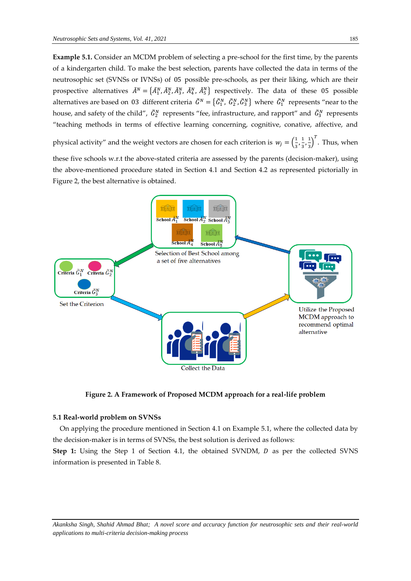**Example 5.1.** Consider an MCDM problem of selecting a pre-school for the first time, by the parents of a kindergarten child. To make the best selection, parents have collected the data in terms of the neutrosophic set (SVNSs or IVNSs) of 05 possible pre-schools, as per their liking, which are their prospective alternatives  $\tilde{A}^N = \{\tilde{A}^N_1, \tilde{A}^N_2, \tilde{A}^N_3, \tilde{A}^N_4, \tilde{A}^N_5\}$  respectively. The data of these 05 possible alternatives are based on 03 different criteria  $\tilde{G}^N = \{\tilde{G}^N_1, \tilde{G}^N_2, \tilde{G}^N_3\}$  where  $\tilde{G}^N_1$  represents "near to the house, and safety of the child",  $\tilde{G}_2^N$  represents "fee, infrastructure, and rapport" and  $\tilde{G}_3^N$  represents "teaching methods in terms of effective learning concerning, cognitive, conative, affective, and

physical activity" and the weight vectors are chosen for each criterion is  $w_j = \left(\frac{1}{3}\right)^2$  $\frac{1}{3}, \frac{1}{3}$  $\frac{1}{3}$ ,  $\frac{1}{3}$  $\frac{1}{3}$ ]<sup>T</sup>. Thus, when

these five schools w.r.t the above-stated criteria are assessed by the parents (decision-maker), using the above-mentioned procedure stated in Section 4.1 and Section 4.2 as represented pictorially in Figure 2, the best alternative is obtained.



**Figure 2. A Framework of Proposed MCDM approach for a real-life problem**

#### **5.1 Real-world problem on SVNSs**

On applying the procedure mentioned in Section 4.1 on Example 5.1, where the collected data by the decision-maker is in terms of SVNSs, the best solution is derived as follows:

**Step 1:** Using the Step 1 of Section 4.1, the obtained SVNDM, *D* as per the collected SVNS information is presented in Table 8.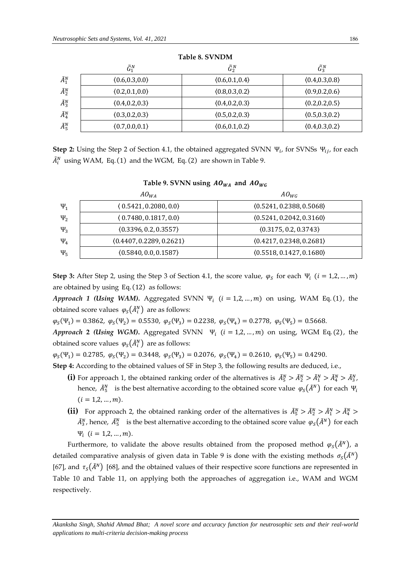|                 | $\tilde{G}_1^N$ | $\tilde{G}_2^N$ | $\tilde{G}_3^N$ |
|-----------------|-----------------|-----------------|-----------------|
| $\tilde{A}_1^N$ | (0.6, 0.3, 0.0) | (0.6, 0.1, 0.4) | (0.4, 0.3, 0.8) |
| $\tilde{A}_2^N$ | (0.2, 0.1, 0.0) | (0.8, 0.3, 0.2) | (0.9, 0.2, 0.6) |
| $\tilde{A}_3^N$ | (0.4, 0.2, 0.3) | (0.4, 0.2, 0.3) | (0.2, 0.2, 0.5) |
| $\tilde{A}_4^N$ | (0.3, 0.2, 0.3) | (0.5, 0.2, 0.3) | (0.5, 0.3, 0.2) |
| $\tilde{A}_5^N$ | (0.7, 0.0, 0.1) | (0.6, 0.1, 0.2) | (0.4, 0.3, 0.2) |

**Table 8. SVNDM**

**Step 2:** Using the Step 2 of Section 4.1, the obtained aggregated SVNN  $\Psi_i$ , for SVNSs  $\Psi_{ij}$ , for each  $\tilde{A}_i^N$  using WAM, Eq. (1) and the WGM, Eq. (2) are shown in Table 9.

## Table 9. SVNN using  $AO_{WA}$  and  $AO_{WG}$

|          | $AO_{WA}$                | $AO_{WG}$                |
|----------|--------------------------|--------------------------|
| $\Psi_1$ | (0.5421, 0.2080, 0.0)    | (0.5241, 0.2388, 0.5068) |
| $\Psi_2$ | (0.7480, 0.1817, 0.0)    | (0.5241, 0.2042, 0.3160) |
| $\Psi_3$ | (0.3396, 0.2, 0.3557)    | (0.3175, 0.2, 0.3743)    |
| $\Psi_4$ | (0.4407, 0.2289, 0.2621) | (0.4217, 0.2348, 0.2681) |
| $\Psi_5$ | (0.5840, 0.0, 0.1587)    | (0.5518, 0.1427, 0.1680) |

**Step 3:** After Step 2, using the Step 3 of Section 4.1, the score value,  $\varphi_S$  for each  $\Psi_i$  ( $i = 1, 2, ..., m$ ) are obtained by using Eq. (12) as follows:

*Approach 1 (Using WAM).* Aggregated SVNN  $\Psi_i$  ( $i = 1, 2, ..., m$ ) on using, WAM Eq. (1), the obtained score values  $\,\varphi_{S}\big(\tilde{A}_l^N\big)\,$  are as follows:

 $\varphi_S(\Psi_1) = 0.3862, \ \varphi_S(\Psi_2) = 0.5530, \ \varphi_S(\Psi_3) = 0.2238, \ \varphi_S(\Psi_4) = 0.2778, \ \varphi_S(\Psi_5) = 0.5668.$ 

*Approach* **2** (Using WGM). Aggregated SVNN  $\Psi_i$  ( $i = 1, 2, ..., m$ ) on using, WGM Eq. (2), the obtained score values  $\,\varphi_{\rm s} \big(\tilde{A}^{\scriptscriptstyle {N}}_i\big)\,$  are as follows:

 $\varphi_S(\Psi_1) = 0.2785$ ,  $\varphi_S(\Psi_2) = 0.3448$ ,  $\varphi_S(\Psi_3) = 0.2076$ ,  $\varphi_S(\Psi_4) = 0.2610$ ,  $\varphi_S(\Psi_5) = 0.4290$ .

**Step 4:** According to the obtained values of SF in Step 3, the following results are deduced, i.e.,

- (i) For approach 1, the obtained ranking order of the alternatives is  $\tilde{A}_5^N > \tilde{A}_2^N > \tilde{A}_1^N > \tilde{A}_4^N > \tilde{A}_3^N$ , hence,  $\tilde{A}_5^N$  is the best alternative according to the obtained score value  $\,\varphi_S(\tilde{A}^N)\,$  for each  $\,\Psi_i$  $(i = 1, 2, ..., m).$
- (ii) For approach 2, the obtained ranking order of the alternatives is  $\tilde{A}_5^N > \tilde{A}_2^N > \tilde{A}_1^N > \tilde{A}_4^N >$  $\tilde{A}_3^N$ , hence,  $\tilde{A}_5^N$  is the best alternative according to the obtained score value  $\varphi_S(\tilde{A}^N)$  for each  $\Psi_i$   $(i = 1, 2, ..., m)$ .

Furthermore, to validate the above results obtained from the proposed method  $\varphi_S(\tilde{A}^N)$ , a detailed comparative analysis of given data in Table 9 is done with the existing methods  $\sigma_S(\tilde{A}^N)$ [67], and  $\tau_s(\tilde{A}^N)$  [68], and the obtained values of their respective score functions are represented in Table 10 and Table 11, on applying both the approaches of aggregation i.e., WAM and WGM respectively.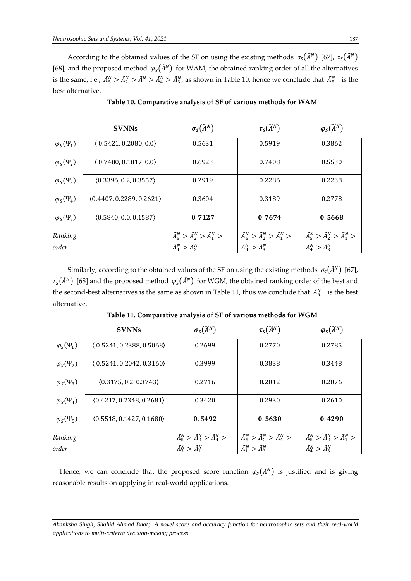According to the obtained values of the SF on using the existing methods  $\sigma_S(\tilde{A}^N)$  [67],  $\tau_S(\tilde{A}^N)$ [68], and the proposed method  $\varphi_S(\tilde{A}^N)$  for WAM, the obtained ranking order of all the alternatives is the same, i.e.,  $\tilde{A}_5^N > \tilde{A}_2^N > \tilde{A}_1^N > \tilde{A}_4^N > \tilde{A}_3^N$ , as shown in Table 10, hence we conclude that  $\tilde{A}_5^N$  is the best alternative.

|                     | <b>SVNNs</b>             | $\sigma_S(\widetilde{A}^N)$                       | $\tau_{\mathcal{S}}(\widetilde{A}^{N})$           | $\varphi_{S}(\widetilde{A}^{N})$                  |
|---------------------|--------------------------|---------------------------------------------------|---------------------------------------------------|---------------------------------------------------|
| $\varphi_S(\Psi_1)$ | (0.5421, 0.2080, 0.0)    | 0.5631                                            | 0.5919                                            | 0.3862                                            |
| $\varphi_S(\Psi_2)$ | (0.7480, 0.1817, 0.0)    | 0.6923                                            | 0.7408                                            | 0.5530                                            |
| $\varphi_S(\Psi_3)$ | (0.3396, 0.2, 0.3557)    | 0.2919                                            | 0.2286                                            | 0.2238                                            |
| $\varphi_S(\Psi_4)$ | (0.4407, 0.2289, 0.2621) | 0.3604                                            | 0.3189                                            | 0.2778                                            |
| $\varphi_S(\Psi_5)$ | (0.5840, 0.0, 0.1587)    | 0.7127                                            | 0.7674                                            | 0.5668                                            |
| Ranking             |                          | $\tilde{A}_5^N > \tilde{A}_2^N > \tilde{A}_1^N >$ | $\tilde{A}_5^N > \tilde{A}_2^N > \tilde{A}_1^N >$ | $\tilde{A}_5^N > \tilde{A}_2^N > \tilde{A}_1^N >$ |
| order               |                          | $\tilde{A}_4^N > \tilde{A}_3^N$                   | $\tilde{A}_4^N > \tilde{A}_3^N$                   | $\tilde{A}_4^N > \tilde{A}_3^N$                   |

**Table 10. Comparative analysis of SF of various methods for WAM**

Similarly, according to the obtained values of the SF on using the existing methods  $\sigma_S(\tilde{A}^N)$  [67],  $\tau_S(\tilde{A}^N)$  [68] and the proposed method  $\varphi_S(\tilde{A}^N)$  for WGM, the obtained ranking order of the best and the second-best alternatives is the same as shown in Table 11, thus we conclude that  $\tilde{A}_5^N$  is the best alternative.

|                         | <b>SVNNs</b>             | $\sigma_S(\widetilde{A}^N)$                       | $\tau_{\mathcal{S}}(\widetilde{A}^{N})$           | $\varphi_{\mathcal{S}}(\widetilde{A}^N)$          |
|-------------------------|--------------------------|---------------------------------------------------|---------------------------------------------------|---------------------------------------------------|
| $\varphi_{S}(\Psi_{1})$ | (0.5241, 0.2388, 0.5068) | 0.2699                                            | 0.2770                                            | 0.2785                                            |
| $\varphi_S(\Psi_2)$     | (0.5241, 0.2042, 0.3160) | 0.3999                                            | 0.3838                                            | 0.3448                                            |
| $\varphi_S(\Psi_3)$     | (0.3175, 0.2, 0.3743)    | 0.2716                                            | 0.2012                                            | 0.2076                                            |
| $\varphi_S(\Psi_4)$     | (0.4217, 0.2348, 0.2681) | 0.3420                                            | 0.2930                                            | 0.2610                                            |
| $\varphi_S(\Psi_5)$     | (0.5518, 0.1427, 0.1680) | 0.5492                                            | 0.5630                                            | 0.4290                                            |
| Ranking                 |                          | $\tilde{A}_5^N > \tilde{A}_2^N > \tilde{A}_4^N >$ | $\tilde{A}_5^N > \tilde{A}_2^N > \tilde{A}_4^N >$ | $\tilde{A}_5^N > \tilde{A}_2^N > \tilde{A}_1^N >$ |
| order                   |                          | $\tilde{A}_3^N > \tilde{A}_1^N$                   | $\tilde{A}_1^N > \tilde{A}_3^N$                   | $\tilde{A}_4^N > \tilde{A}_3^N$                   |

**Table 11. Comparative analysis of SF of various methods for WGM**

Hence, we can conclude that the proposed score function  $\varphi_s(\tilde{A}^N)$  is justified and is giving reasonable results on applying in real-world applications.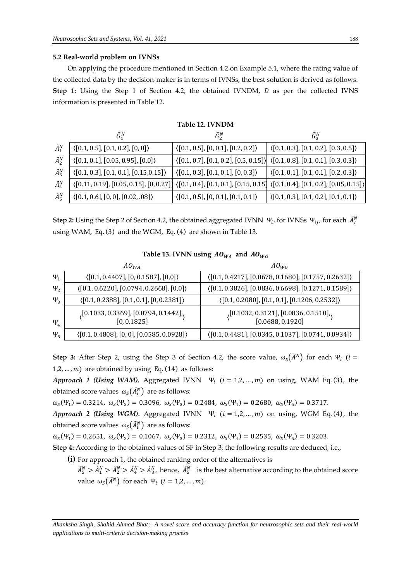#### **5.2 Real-world problem on IVNSs**

On applying the procedure mentioned in Section 4.2 on Example 5.1, where the rating value of the collected data by the decision-maker is in terms of IVNSs, the best solution is derived as follows: **Step 1:** Using the Step 1 of Section 4.2, the obtained IVNDM, *D* as per the collected IVNS information is presented in Table 12.

|                 | <b>Table 12. IVNDM</b>                                                                                         |                                                                                                                    |                                                        |  |  |  |  |  |
|-----------------|----------------------------------------------------------------------------------------------------------------|--------------------------------------------------------------------------------------------------------------------|--------------------------------------------------------|--|--|--|--|--|
|                 | $\tilde{G}_1^N$                                                                                                | $\tilde{G}_2^N$                                                                                                    | $\tilde{G}_3^N$                                        |  |  |  |  |  |
| $\tilde{A}_1^N$ | $\langle [0.1, 0.5], [0.1, 0.2], [0, 0] \rangle$                                                               | $\langle [0.1, 0.5], [0, 0.1], [0.2, 0.2] \rangle$                                                                 | $\langle [0.1, 0.3], [0.1, 0.2], [0.3, 0.5] \rangle$   |  |  |  |  |  |
| $\tilde{A}_2^N$ | $\langle [0.1, 0.1], [0.05, 0.95], [0,0] \rangle$                                                              | $\langle [0.1, 0.7], [0.1, 0.2], [0.5, 0.15] \rangle \rangle$ $\langle [0.1, 0.8], [0.1, 0.1], [0.3, 0.3] \rangle$ |                                                        |  |  |  |  |  |
| $\tilde{A}_3^N$ | $\langle [0.1, 0.3], [0.1, 0.1], [0.15, 0.15] \rangle$                                                         | $\langle [0.1, 0.3], [0.1, 0.1], [0, 0.3] \rangle$                                                                 | $\langle [0.1, 0.1], [0.1, 0.1], [0.2, 0.3] \rangle$   |  |  |  |  |  |
| $\tilde{A}_4^N$ | $\langle [0.11, 0.19], [0.05, 0.15], [0, 0.27] \rangle$ $\langle [0.1, 0.4], [0.1, 0.1], [0.15, 0.15] \rangle$ |                                                                                                                    | $\langle [0.1, 0.4], [0.1, 0.2], [0.05, 0.15] \rangle$ |  |  |  |  |  |
| $\tilde{A}_5^N$ | $\langle [0.1, 0.6], [0, 0], [0.02, .08] \rangle$                                                              | $\langle [0.1, 0.5], [0, 0.1], [0.1, 0.1] \rangle$                                                                 | $\langle [0.1, 0.3], [0.1, 0.2], [0.1, 0.1] \rangle$   |  |  |  |  |  |

**Step 2:** Using the Step 2 of Section 4.2, the obtained aggregated IVNN  $\Psi_i$ , for IVNSs  $\Psi_{ij}$ , for each  $\tilde{A}_i^N$ using WAM, Eq. (3) and the WGM, Eq. (4) are shown in Table 13.

#### Table 13. IVNN using  $A0_{WA}$  and  $A0_{WG}$

|            | $AO_{WA}$                                                                                                                     | $A O_{WG}$                                                                                            |
|------------|-------------------------------------------------------------------------------------------------------------------------------|-------------------------------------------------------------------------------------------------------|
| $\Psi_1$   | $\langle [0.1, 0.4407], [0, 0.1587], [0,0] \rangle$                                                                           | $\langle [0.1, 0.4217], [0.0678, 0.1680], [0.1757, 0.2632] \rangle$                                   |
| $\Psi_{2}$ | $\langle [0.1, 0.6220], [0.0794, 0.2668], [0,0] \rangle$                                                                      | $\langle [0.1, 0.3826], [0.0836, 0.6698], [0.1271, 0.1589] \rangle$                                   |
| $\Psi_3$   | $\langle [0.1, 0.2388], [0.1, 0.1], [0, 0.2381] \rangle$                                                                      | $\langle [0.1, 0.2080], [0.1, 0.1], [0.1206, 0.2532] \rangle$                                         |
| $\Psi_4$   | $\langle \begin{bmatrix} 0.1033, 0.3369 \end{bmatrix}, \begin{bmatrix} 0.0794, 0.1442 \end{bmatrix} \rangle$<br>$[0, 0.1825]$ | $\langle \begin{matrix} [0.1032, 0.3121], [0.0836, 0.1510], \\ [0.0688, 0.1920] \end{matrix} \rangle$ |
| $\Psi_5$   | $\langle [0.1, 0.4808], [0, 0], [0.0585, 0.0928] \rangle$                                                                     | $\langle [0.1, 0.4481], [0.0345, 0.1037], [0.0741, 0.0934] \rangle$                                   |

**Step 3:** After Step 2, using the Step 3 of Section 4.2, the score value,  $\omega_s(\tilde{A}^N)$  for each  $\Psi_i$  ( $i =$ 1,2, ...,  $m$ ) are obtained by using Eq. (14) as follows:

*Approach 1 (Using WAM).* Aggregated IVNN  $\Psi_i$  ( $i = 1, 2, ..., m$ ) on using, WAM Eq. (3), the obtained score values  $\omega_{\mathcal{S}}(\tilde{A}_i^N)$  are as follows:

 $\omega_S(\Psi_1) = 0.3214$ ,  $\omega_S(\Psi_2) = 0.3096$ ,  $\omega_S(\Psi_3) = 0.2484$ ,  $\omega_S(\Psi_4) = 0.2680$ ,  $\omega_S(\Psi_5) = 0.3717$ .

*Approach 2 (Using WGM).* Aggregated IVNN  $\Psi_i$  ( $i = 1, 2, ..., m$ ) on using, WGM Eq. (4), the obtained score values  $\, \omega_{S} \big( \tilde{A}^{N}_{i} \big) \,$  are as follows:

 $\omega_S(\Psi_1) = 0.2651$ ,  $\omega_S(\Psi_2) = 0.1067$ ,  $\omega_S(\Psi_3) = 0.2312$ ,  $\omega_S(\Psi_4) = 0.2535$ ,  $\omega_S(\Psi_5) = 0.3203$ .

**Step 4:** According to the obtained values of SF in Step 3, the following results are deduced, i.e.,

- **(i)** For approach 1, the obtained ranking order of the alternatives is
	- $\tilde{A}_5^N > \tilde{A}_1^N > \tilde{A}_2^N > \tilde{A}_3^N$ , hence,  $\tilde{A}_5^N$  is the best alternative according to the obtained score value  $\omega_s(\tilde{A}^N)$  for each  $\Psi_i$  ( $i = 1,2,...,m$ ).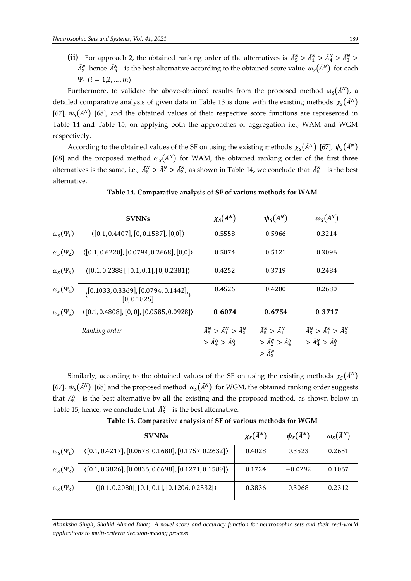(ii) For approach 2, the obtained ranking order of the alternatives is  $\tilde{A}_5^N > \tilde{A}_1^N > \tilde{A}_4^N > \tilde{A}_3^N >$  $\tilde{A}_2^N$  hence  $\tilde{A}_5^N$  is the best alternative according to the obtained score value  $\omega_S(\tilde{A}^N)$  for each  $\Psi_i$   $(i = 1, 2, ..., m)$ .

Furthermore, to validate the above-obtained results from the proposed method  $\omega_s(\tilde{A}^N)$ , a detailed comparative analysis of given data in Table 13 is done with the existing methods  $\chi_{S}(\tilde{A}^{N})$ [67],  $\psi_{\rm s}(\tilde{A}^N)$  [68], and the obtained values of their respective score functions are represented in Table 14 and Table 15, on applying both the approaches of aggregation i.e., WAM and WGM respectively.

According to the obtained values of the SF on using the existing methods  $\chi_S(\tilde{A}^N)$  [67],  $\psi_S(\tilde{A}^N)$ [68] and the proposed method  $\omega_s(\tilde{A}^N)$  for WAM, the obtained ranking order of the first three alternatives is the same, i.e.,  $\tilde{A}_5^N > \tilde{A}_1^N > \tilde{A}_2^N$ , as shown in Table 14, we conclude that  $\tilde{A}_5^N$  is the best alternative.

|                                | <b>SVNNs</b>                                                                                                                  | $\chi_{S}(\widetilde{A}^{N})$                   | $\psi_{S}(\widetilde{A}^{N})$        | $\omega_{\mathcal{S}}(\widetilde{A}^N)$         |
|--------------------------------|-------------------------------------------------------------------------------------------------------------------------------|-------------------------------------------------|--------------------------------------|-------------------------------------------------|
| $\omega_{S}(\Psi_{1})$         | $\langle [0.1, 0.4407], [0, 0.1587], [0,0] \rangle$                                                                           | 0.5558                                          | 0.5966                               | 0.3214                                          |
| $\omega_{S}(\Psi_{2})$         | $(0.1, 0.6220], [0.0794, 0.2668], [0,0])$                                                                                     | 0.5074                                          | 0.5121                               | 0.3096                                          |
| $\omega_{S}(\Psi_{3})$         | $(0.1, 0.2388], [0.1, 0.1], [0, 0.2381])$                                                                                     | 0.4252                                          | 0.3719                               | 0.2484                                          |
| $\omega_{\rm S}(\Psi_4)$       | $\langle \begin{bmatrix} 0.1033, 0.3369 \end{bmatrix}, \begin{bmatrix} 0.0794, 0.1442 \end{bmatrix} \rangle$<br>$[0, 0.1825]$ | 0.4526                                          | 0.4200                               | 0.2680                                          |
| $\omega_{\rm s}(\Psi_{\rm s})$ | $(0.1, 0.4808], [0, 0], [0.0585, 0.0928])$                                                                                    | 0.6074                                          | 0.6754                               | 0.3717                                          |
|                                | Ranking order                                                                                                                 | $\tilde{A}_5^N > \tilde{A}_1^N > \tilde{A}_2^N$ | $\tilde{A}_5^N > \tilde{A}_1^N$      | $\tilde{A}_5^N > \tilde{A}_1^N > \tilde{A}_2^N$ |
|                                |                                                                                                                               | $\geq \tilde{A}_4^N > \tilde{A}_3^N$            | $\geq \tilde{A}_2^N > \tilde{A}_4^N$ | $\geq \tilde{A}_4^N > \tilde{A}_3^N$            |
|                                |                                                                                                                               |                                                 | $\geq \tilde{A}_{3}^{N}$             |                                                 |

**Table 14. Comparative analysis of SF of various methods for WAM**

Similarly, according to the obtained values of the SF on using the existing methods  $\chi_{S}(\tilde{A}^{N})$ [67],  $\psi_S(\tilde{A}^N)$  [68] and the proposed method  $\omega_S(\tilde{A}^N)$  for WGM, the obtained ranking order suggests that  $\tilde{A}_5^N$  is the best alternative by all the existing and the proposed method, as shown below in Table 15, hence, we conclude that  $\tilde{A}_5^N$  is the best alternative.

**Table 15. Comparative analysis of SF of various methods for WGM**

|                          | <b>SVNNs</b>                                         | $\chi_{S}(\widetilde{A}^{N})$ | $\psi_{S}(\widetilde{A}^{N})$ | $\omega_{\mathcal{S}}(\widetilde{A}^N)$ |
|--------------------------|------------------------------------------------------|-------------------------------|-------------------------------|-----------------------------------------|
| $\omega_{S}(\Psi_{1})$   | $(0.1, 0.4217], [0.0678, 0.1680], [0.1757, 0.2632])$ | 0.4028                        | 0.3523                        | 0.2651                                  |
| $\omega_{S}(\Psi_{2})$   | $(0.1, 0.3826], [0.0836, 0.6698], [0.1271, 0.1589])$ | 0.1724                        | $-0.0292$                     | 0.1067                                  |
| $\omega_{\rm S}(\Psi_3)$ | $(0.1, 0.2080], [0.1, 0.1], [0.1206, 0.2532])$       | 0.3836                        | 0.3068                        | 0.2312                                  |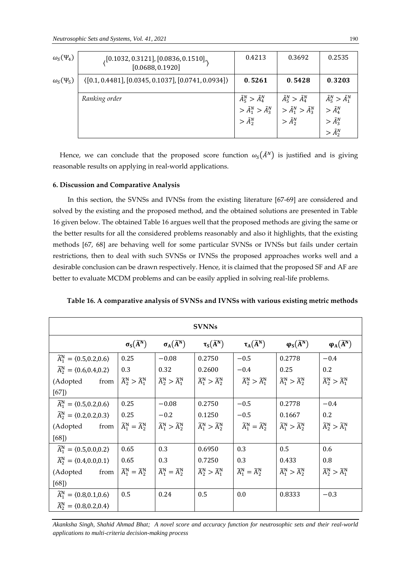| $\omega_{S}(\Psi_{4})$         | , [0.1032, 0.3121], [0.0836, 0.1510],<br>[0.0688, 0.1920] | 0.4213                                                                                                                  | 0.3692                                                                                    | 0.2535                                                                                                  |
|--------------------------------|-----------------------------------------------------------|-------------------------------------------------------------------------------------------------------------------------|-------------------------------------------------------------------------------------------|---------------------------------------------------------------------------------------------------------|
| $\omega_{\rm S}(\Psi_{\rm S})$ | $(0.1, 0.4481], [0.0345, 0.1037], [0.0741, 0.0934])$      | 0.5261                                                                                                                  | 0.5428                                                                                    | 0.3203                                                                                                  |
|                                | Ranking order                                             | $\begin{aligned} \tilde{A}_5^N &> \tilde{A}_4^N \\ &> \tilde{A}_1^N &> \tilde{A}_3^N \\ &> \tilde{A}_2^N \end{aligned}$ | $\tilde{A}^N_5 > \tilde{A}^N_4$<br>$>\tilde{A}_1^N>\tilde{A}_3^N$<br>$\geq \tilde{A}_2^N$ | $\tilde{A}^N_{5} > \tilde{A}^N_{1}$<br>$\geq \tilde{A}_4^N$<br>$>\tilde{A}_3^N$<br>$\geq \tilde{A}_2^N$ |

Hence, we can conclude that the proposed score function  $\omega_s(\tilde{A}^N)$  is justified and is giving reasonable results on applying in real-world applications.

#### **6. Discussion and Comparative Analysis**

In this section, the SVNSs and IVNSs from the existing literature [67-69] are considered and solved by the existing and the proposed method, and the obtained solutions are presented in Table 16 given below. The obtained Table 16 argues well that the proposed methods are giving the same or the better results for all the considered problems reasonably and also it highlights, that the existing methods [67, 68] are behaving well for some particular SVNSs or IVNSs but fails under certain restrictions, then to deal with such SVNSs or IVNSs the proposed approaches works well and a desirable conclusion can be drawn respectively. Hence, it is claimed that the proposed SF and AF are better to evaluate MCDM problems and can be easily applied in solving real-life problems.

| <b>SVNNs</b>                                        |                                         |                                         |                                         |                                         |                                                   |                                         |  |
|-----------------------------------------------------|-----------------------------------------|-----------------------------------------|-----------------------------------------|-----------------------------------------|---------------------------------------------------|-----------------------------------------|--|
|                                                     | $\sigma_{\rm S}(\widetilde{\rm A}^N)$   | $\sigma_A(\widetilde{A}^N)$             | $\tau_{S}(\widetilde{A}^{N})$           | $\tau_A(\widetilde{A}^N)$               | $\varphi_{\mathcal{S}}(\widetilde{\mathbf{A}}^N)$ | $\varphi_{A}(\widetilde{A}^{N})$        |  |
| $\widetilde{A}_1^N = \langle 0.5, 0.2, 0.6 \rangle$ | 0.25                                    | $-0.08$                                 | 0.2750                                  | $-0.5$                                  | 0.2778                                            | $-0.4$                                  |  |
| $\widetilde{A}_2^N = \langle 0.6, 0.4, 0.2 \rangle$ | 0.3                                     | 0.32                                    | 0.2600                                  | $-0.4$                                  | 0.25                                              | 0.2                                     |  |
| (Adopted<br>from                                    | $\widetilde{A}_2^N > \widetilde{A}_1^N$ | $\widetilde{A}_2^N > \widetilde{A}_1^N$ | $\widetilde{A}_1^N > \widetilde{A}_2^N$ | $\widetilde{A}_2^N > \widetilde{A}_1^N$ | $\widetilde{A}_1^N > \widetilde{A}_2^N$           | $\widetilde{A}_2^N > \widetilde{A}_1^N$ |  |
| [67]                                                |                                         |                                         |                                         |                                         |                                                   |                                         |  |
| $\widetilde{A}_1^N = \langle 0.5, 0.2, 0.6 \rangle$ | 0.25                                    | $-0.08$                                 | 0.2750                                  | $-0.5$                                  | 0.2778                                            | $-0.4$                                  |  |
| $\widetilde{A}_2^N = \langle 0.2, 0.2, 0.3 \rangle$ | 0.25                                    | $-0.2$                                  | 0.1250                                  | $-0.5$                                  | 0.1667                                            | 0.2                                     |  |
| (Adopted<br>from                                    | $\widetilde{A}_1^N = \widetilde{A}_2^N$ | $\widetilde{A}_1^N > \widetilde{A}_2^N$ | $\widetilde{A}_1^N > \widetilde{A}_2^N$ | $\widetilde{A}_1^N = \widetilde{A}_2^N$ | $\widetilde{A}_1^N > \widetilde{A}_2^N$           | $\widetilde{A}^N_2 > \widetilde{A}^N_1$ |  |
| [68]                                                |                                         |                                         |                                         |                                         |                                                   |                                         |  |
| $\widetilde{A}_1^N = \langle 0.5, 0.0, 0.2 \rangle$ | 0.65                                    | 0.3                                     | 0.6950                                  | 0.3                                     | 0.5                                               | 0.6                                     |  |
| $\widetilde{A}_2^N = \langle 0.4, 0.0, 0.1 \rangle$ | 0.65                                    | 0.3                                     | 0.7250                                  | 0.3                                     | 0.433                                             | 0.8                                     |  |
| (Adopted<br>from                                    | $\widetilde{A}_1^N = \widetilde{A}_2^N$ | $\widetilde{A}_1^N = \widetilde{A}_2^N$ | $\widetilde{A}_2^N > \widetilde{A}_1^N$ | $\widetilde{A}_1^N = \widetilde{A}_2^N$ | $\widetilde{A}_1^N > \widetilde{A}_2^N$           | $\widetilde{A}_2^N > \widetilde{A}_1^N$ |  |
| [68]                                                |                                         |                                         |                                         |                                         |                                                   |                                         |  |
| $\widetilde{A}_1^N = \langle 0.8, 0.1, 0.6 \rangle$ | 0.5                                     | 0.24                                    | 0.5                                     | 0.0                                     | 0.8333                                            | $-0.3$                                  |  |
| $\widetilde{A}_2^N = \langle 0.8, 0.2, 0.4 \rangle$ |                                         |                                         |                                         |                                         |                                                   |                                         |  |

**Table 16. A comparative analysis of SVNSs and IVNSs with various existing metric methods**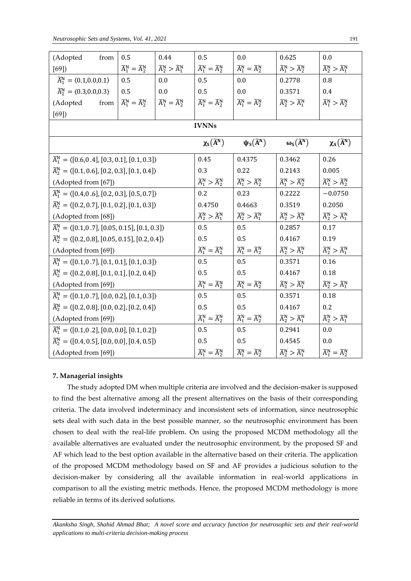| (Adopted<br>from                                                           | 0.5                                     | 0.44                                    | 0.5                                     | $0.0\,$                                                  | 0.625                                       | $0.0\,$                                 |
|----------------------------------------------------------------------------|-----------------------------------------|-----------------------------------------|-----------------------------------------|----------------------------------------------------------|---------------------------------------------|-----------------------------------------|
| [69]                                                                       | $\widetilde{A}_1^N = \widetilde{A}_2^N$ | $\widetilde{A}_2^N > \widetilde{A}_1^N$ | $\widetilde{A}_1^N = \widetilde{A}_2^N$ | $\widetilde{A}_1^N = \widetilde{A}_2^N$                  | $\widetilde{A}_1^N > \widetilde{A}_2^N$     | $\widetilde{A}_2^N > \widetilde{A}_1^N$ |
| $\widetilde{A}_1^N = \langle 0.1, 0.0, 0.1 \rangle$                        | 0.5                                     | 0.0                                     | 0.5                                     | 0.0                                                      | 0.2778                                      | 0.8                                     |
| $\widetilde{A}_2^N = \langle 0.3, 0.0, 0.3 \rangle$                        | 0.5                                     | $0.0\,$                                 | 0.5                                     | 0.0                                                      | 0.3571                                      | 0.4                                     |
| (Adopted<br>from                                                           | $\widetilde{A}_1^N = \widetilde{A}_2^N$ | $\widetilde{A}_1^N = \widetilde{A}_2^N$ | $\widetilde{A}_1^N = \widetilde{A}_2^N$ | $\widetilde{A}_1^N = \widetilde{A}_2^N$                  | $\widetilde{A}_2^N > \widetilde{A}_1^N$     | $\widetilde{A}_1^N > \widetilde{A}_2^N$ |
| [69]                                                                       |                                         |                                         |                                         |                                                          |                                             |                                         |
|                                                                            |                                         |                                         | <b>IVNNs</b>                            |                                                          |                                             |                                         |
|                                                                            |                                         |                                         | $\chi_{\rm S}(\widetilde{\rm A}^N)$     | $\Psi_{\mathsf{S}}(\widetilde{\mathsf{A}}^{\mathsf{N}})$ | $\omega_{\rm S}(\widetilde{\rm A}^{\rm N})$ | $\chi_{\rm A}(\widetilde{\rm A}^N)$     |
| $\widetilde{A}_1^N = \langle [0.6, 0.4], [0.3, 0.1], [0.1, 0.3] \rangle$   |                                         |                                         | 0.45                                    | 0.4375                                                   | 0.3462                                      | 0.26                                    |
| $\widetilde{A}_2^N = \langle [0.1, 0.6], [0.2, 0.3], [0.1, 0.4] \rangle$   |                                         |                                         | 0.3                                     | 0.22                                                     | 0.2143                                      | 0.005                                   |
| (Adopted from [67])                                                        |                                         |                                         | $\widetilde{A}_1^N > \widetilde{A}_2^N$ | $\widetilde{A}_1^N > \widetilde{A}_2^N$                  | $\widetilde{A}_1^N > \widetilde{A}_2^N$     | $\widetilde{A}_1^N > \widetilde{A}_2^N$ |
| $\widetilde{A}_1^N = \langle [0.4, 0.6], [0.2, 0.3], [0.5, 0.7] \rangle$   |                                         |                                         | 0.2                                     | 0.23                                                     | 0.2222                                      | $-0.0750$                               |
| $\widetilde{A}_2^N = \langle [0.2, 0.7], [0.1, 0.2], [0.1, 0.3] \rangle$   |                                         |                                         | 0.4750                                  | 0.4663                                                   | 0.3519                                      | 0.2050                                  |
| (Adopted from [68])                                                        |                                         |                                         | $\widetilde{A}_2^N > \widetilde{A}_1^N$ | $\widetilde{A}_2^N > \widetilde{A}_1^N$                  | $\widetilde{A}_2^N > \widetilde{A}_1^N$     | $\widetilde{A}_2^N > \widetilde{A}_1^N$ |
| $\widetilde{A}_1^N = \langle [0.1, 0.7], [0.05, 0.15], [0.1, 0.3] \rangle$ |                                         |                                         | 0.5                                     | 0.5                                                      | 0.2857                                      | 0.17                                    |
| $\widetilde{A}_2^N = \langle [0.2, 0.8], [0.05, 0.15], [0.2, 0.4] \rangle$ |                                         |                                         | 0.5                                     | 0.5                                                      | 0.4167                                      | 0.19                                    |
| (Adopted from [69])                                                        |                                         |                                         | $\widetilde{A}_1^N = \widetilde{A}_2^N$ | $\widetilde{A}_1^N = \widetilde{A}_2^N$                  | $\widetilde{A}_2^N > \widetilde{A}_1^N$     | $\widetilde{A}_2^N > \widetilde{A}_1^N$ |
| $\widetilde{A}_1^N = \langle [0.1, 0.7], [0.1, 0.1], [0.1, 0.3] \rangle$   |                                         |                                         | 0.5                                     | 0.5                                                      | 0.3571                                      | 0.16                                    |
| $\widetilde{A}_2^N = \langle [0.2, 0.8], [0.1, 0.1], [0.2, 0.4] \rangle$   |                                         |                                         | 0.5                                     | 0.5                                                      | 0.4167                                      | 0.18                                    |
| (Adopted from [69])                                                        |                                         |                                         | $\widetilde{A}_1^N = \widetilde{A}_2^N$ | $\widetilde{A}_1^N = \widetilde{A}_2^N$                  | $\widetilde{A}_2^N > \widetilde{A}_1^N$     | $\widetilde{A}_2^N > \widetilde{A}_1^N$ |
| $\widetilde{A}_1^N = \langle [0.1, 0.7], [0.0, 0.2], [0.1, 0.3] \rangle$   |                                         |                                         | 0.5                                     | 0.5                                                      | 0.3571                                      | 0.18                                    |
| $\widetilde{A}_2^N = \langle [0.2, 0.8], [0.0, 0.2], [0.2, 0.4] \rangle$   |                                         |                                         | 0.5                                     | 0.5                                                      | 0.4167                                      | 0.2                                     |
| (Adopted from [69])                                                        |                                         |                                         | $\widetilde{A}_1^N = \widetilde{A}_2^N$ | $\widetilde{A}_1^N = \widetilde{A}_2^N$                  | $\widetilde{A}_2^N > \widetilde{A}_1^N$     | $\widetilde{A}_2^N > \widetilde{A}_1^N$ |
| $\widetilde{A}_1^N = \langle [0.1, 0.2], [0.0, 0.0], [0.1, 0.2] \rangle$   |                                         |                                         | 0.5                                     | 0.5                                                      | 0.2941                                      | 0.0                                     |
| $\widetilde{A}_2^N = \langle [0.4, 0.5], [0.0, 0.0], [0.4, 0.5] \rangle$   |                                         |                                         | 0.5                                     | 0.5                                                      | 0.4545                                      | 0.0                                     |
| (Adopted from [69])                                                        |                                         |                                         | $\widetilde{A}_1^N = \widetilde{A}_2^N$ | $\widetilde{A}_1^N = \widetilde{A}_2^N$                  | $\widetilde{A}_2^N > \widetilde{A}_1^N$     | $\widetilde{A}_1^N = \widetilde{A}_2^N$ |

#### **7. Managerial insights**

The study adopted DM when multiple criteria are involved and the decision-maker is supposed to find the best alternative among all the present alternatives on the basis of their corresponding criteria. The data involved indeterminacy and inconsistent sets of information, since neutrosophic sets deal with such data in the best possible manner, so the neutrosophic environment has been chosen to deal with the real-life problem. On using the proposed MCDM methodology all the available alternatives are evaluated under the neutrosophic environment, by the proposed SF and AF which lead to the best option available in the alternative based on their criteria. The application of the proposed MCDM methodology based on SF and AF provides a judicious solution to the decision-maker by considering all the available information in real-world applications in comparison to all the existing metric methods. Hence, the proposed MCDM methodology is more reliable in terms of its derived solutions.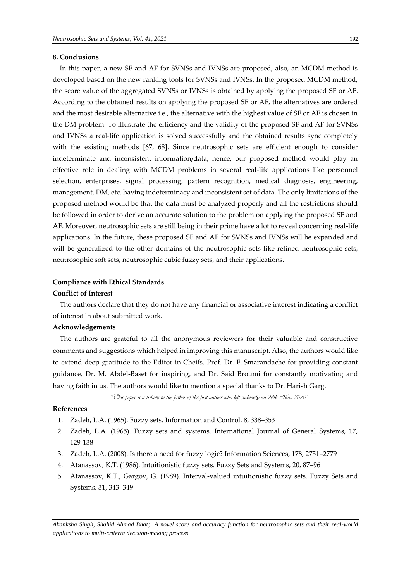## **8. Conclusions**

In this paper, a new SF and AF for SVNSs and IVNSs are proposed, also, an MCDM method is developed based on the new ranking tools for SVNSs and IVNSs. In the proposed MCDM method, the score value of the aggregated SVNSs or IVNSs is obtained by applying the proposed SF or AF. According to the obtained results on applying the proposed SF or AF, the alternatives are ordered and the most desirable alternative i.e., the alternative with the highest value of SF or AF is chosen in the DM problem. To illustrate the efficiency and the validity of the proposed SF and AF for SVNSs and IVNSs a real-life application is solved successfully and the obtained results sync completely with the existing methods [67, 68]. Since neutrosophic sets are efficient enough to consider indeterminate and inconsistent information/data, hence, our proposed method would play an effective role in dealing with MCDM problems in several real-life applications like personnel selection, enterprises, signal processing, pattern recognition, medical diagnosis, engineering, management, DM, etc. having indeterminacy and inconsistent set of data. The only limitations of the proposed method would be that the data must be analyzed properly and all the restrictions should be followed in order to derive an accurate solution to the problem on applying the proposed SF and AF. Moreover, neutrosophic sets are still being in their prime have a lot to reveal concerning real-life applications. In the future, these proposed SF and AF for SVNSs and IVNSs will be expanded and will be generalized to the other domains of the neutrosophic sets like-refined neutrosophic sets, neutrosophic soft sets, neutrosophic cubic fuzzy sets, and their applications.

#### **Compliance with Ethical Standards**

#### **Conflict of Interest**

The authors declare that they do not have any financial or associative interest indicating a conflict of interest in about submitted work.

#### **Acknowledgements**

The authors are grateful to all the anonymous reviewers for their valuable and constructive comments and suggestions which helped in improving this manuscript. Also, the authors would like to extend deep gratitude to the Editor-in-Cheifs, Prof. Dr. F. Smarandache for providing constant guidance, Dr. M. Abdel-Baset for inspiring, and Dr. Said Broumi for constantly motivating and having faith in us. The authors would like to mention a special thanks to Dr. Harish Garg.

*"This paper is a tribute to the father of the first author who left suddenly on 28th Nov 2020"*

#### **References**

- 1. Zadeh, L.A. (1965). Fuzzy sets. Information and Control, 8, 338–353
- 2. Zadeh, L.A. (1965). Fuzzy sets and systems. International Journal of General Systems, 17, 129-138
- 3. Zadeh, L.A. (2008). Is there a need for fuzzy logic? Information Sciences, 178, 2751–2779
- 4. Atanassov, K.T. (1986). Intuitionistic fuzzy sets. Fuzzy Sets and Systems, 20, 87–96
- 5. Atanassov, K.T., Gargov, G. (1989). Interval-valued intuitionistic fuzzy sets. Fuzzy Sets and Systems, 31, 343–349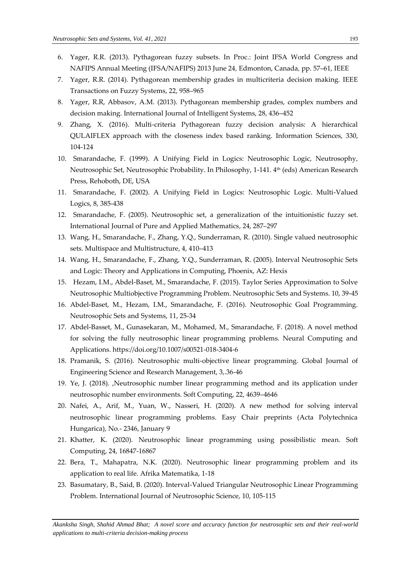- 6. Yager, R.R. (2013). Pythagorean fuzzy subsets. In Proc.: Joint IFSA World Congress and NAFIPS Annual Meeting (IFSA/NAFIPS) 2013 June 24*,* Edmonton, Canada*,* pp. 57–61, IEEE
- 7. Yager, R.R. (2014). Pythagorean membership grades in multicriteria decision making. IEEE Transactions on Fuzzy Systems, 22, 958–965
- 8. Yager, R.R, Abbasov, A.M. (2013). Pythagorean membership grades, complex numbers and decision making. International Journal of Intelligent Systems, 28, 436–452
- 9. Zhang, X. (2016). Multi-criteria Pythagorean fuzzy decision analysis: A hierarchical QULAIFLEX approach with the closeness index based ranking. Information Sciences, 330, 104-124
- 10. Smarandache, F. (1999). A Unifying Field in Logics: Neutrosophic Logic, Neutrosophy, Neutrosophic Set, Neutrosophic Probability. In Philosophy, 1-141. 4 th (eds) American Research Press, Rehoboth, DE, USA
- 11. Smarandache, F. (2002). A Unifying Field in Logics: Neutrosophic Logic. Multi-Valued Logics, 8, 385-438
- 12. Smarandache, F. (2005). Neutrosophic set, a generalization of the intuitionistic fuzzy set. International Journal of Pure and Applied Mathematics, 24, 287–297
- 13. Wang, H., Smarandache, F., Zhang, Y.Q., Sunderraman, R. (2010). Single valued neutrosophic sets. Multispace and Multistructure, 4, 410–413
- 14. Wang, H., Smarandache, F., Zhang, Y.Q., Sunderraman, R. (2005). Interval Neutrosophic Sets and Logic: Theory and Applications in Computing, Phoenix, AZ: Hexis
- 15. Hezam, I.M., Abdel-Baset, M., Smarandache, F. (2015). Taylor Series Approximation to Solve Neutrosophic Multiobjective Programming Problem. Neutrosophic Sets and Systems. 10, 39-45
- 16. Abdel-Baset, M., Hezam, I.M., Smarandache, F. (2016). Neutrosophic Goal Programming. Neutrosophic Sets and Systems, 11, 25-34
- 17. Abdel-Basset, M., Gunasekaran, M., Mohamed, M., Smarandache, F. (2018). A novel method for solving the fully neutrosophic linear programming problems. Neural Computing and Applications. https://doi.org/10.1007/s00521-018-3404-6
- 18. Pramanik, S. (2016). Neutrosophic multi-objective linear programming. Global Journal of Engineering Science and Research Management, 3,.36-46
- 19. Ye, J. (2018). ,Neutrosophic number linear programming method and its application under neutrosophic number environments. Soft Computing, 22, 4639–4646
- 20. Nafei, A., Arif, M., Yuan, W., Nasseri, H. (2020). A new method for solving interval neutrosophic linear programming problems. Easy Chair preprints (Acta Polytechnica Hungarica), No.- 2346, January 9
- 21. Khatter, K. (2020). Neutrosophic linear programming using possibilistic mean. Soft Computing, 24, 16847-16867
- 22. Bera, T., Mahapatra, N.K. (2020). Neutrosophic linear programming problem and its application to real life. Afrika Matematika, 1-18
- 23. Basumatary, B., Said, B. (2020). Interval-Valued Triangular Neutrosophic Linear Programming Problem. International Journal of Neutrosophic Science, 10, 105-115

*Akanksha Singh, Shahid Ahmad Bhat; A novel score and accuracy function for neutrosophic sets and their real-world applications to multi-criteria decision-making process*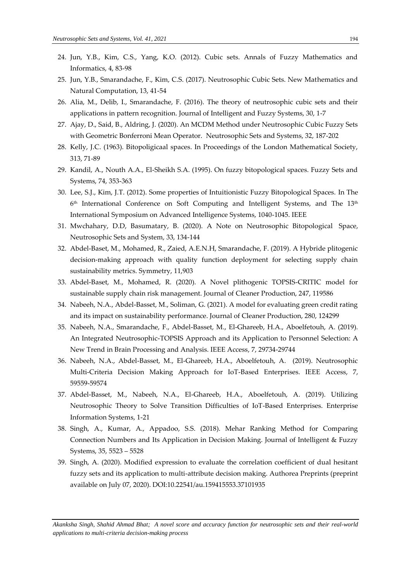- 24. Jun, Y.B., Kim, C.S., Yang, K.O. (2012). Cubic sets. Annals of Fuzzy Mathematics and Informatics, 4, 83-98
- 25. Jun, Y.B., Smarandache, F., Kim, C.S. (2017). Neutrosophic Cubic Sets. New Mathematics and Natural Computation, 13, 41-54
- 26. Alia, M., Delib, I., Smarandache, F. (2016). The theory of neutrosophic cubic sets and their applications in pattern recognition. Journal of Intelligent and Fuzzy Systems, 30, 1-7
- 27. Ajay, D., Said, B., Aldring, J. (2020). An MCDM Method under Neutrosophic Cubic Fuzzy Sets with Geometric Bonferroni Mean Operator. Neutrosophic Sets and Systems, 32, 187-202
- 28. Kelly, J.C. (1963). Bitopoligicaal spaces. In Proceedings of the London Mathematical Society, 313, 71-89
- 29. Kandil, A., Nouth A.A., El-Sheikh S.A. (1995). On fuzzy bitopological spaces. Fuzzy Sets and Systems, 74, 353-363
- 30. Lee, S.J., Kim, J.T. (2012). Some properties of Intuitionistic Fuzzy Bitopological Spaces. In The  $6<sup>th</sup>$  International Conference on Soft Computing and Intelligent Systems, and The 13<sup>th</sup> International Symposium on Advanced Intelligence Systems, 1040-1045. IEEE
- 31. Mwchahary, D.D, Basumatary, B. (2020). A Note on Neutrosophic Bitopological Space, Neutrosophic Sets and System, 33, 134-144
- 32. Abdel-Baset, M., Mohamed, R., Zaied, A.E.N.H, Smarandache, F. (2019). A Hybride plitogenic decision-making approach with quality function deployment for selecting supply chain sustainability metrics. Symmetry, 11,903
- 33. Abdel-Baset, M., Mohamed, R. (2020). A Novel plithogenic TOPSIS-CRITIC model for sustainable supply chain risk management. Journal of Cleaner Production, 247, 119586
- 34. Nabeeh, N.A., Abdel-Basset, M., Soliman, G. (2021). A model for evaluating green credit rating and its impact on sustainability performance. Journal of Cleaner Production, 280, 124299
- 35. Nabeeh, N.A., Smarandache, F., Abdel-Basset, M., El-Ghareeb, H.A., Aboelfetouh, A. (2019). An Integrated Neutrosophic-TOPSIS Approach and its Application to Personnel Selection: A New Trend in Brain Processing and Analysis. IEEE Access, 7, 29734-29744
- 36. Nabeeh, N.A., Abdel-Basset, M., El-Ghareeb, H.A., Aboelfetouh, A. (2019). Neutrosophic Multi-Criteria Decision Making Approach for IoT-Based Enterprises. IEEE Access, 7, 59559-59574
- 37. Abdel-Basset, M., Nabeeh, N.A., El-Ghareeb, H.A., Aboelfetouh, A. (2019). Utilizing Neutrosophic Theory to Solve Transition Difficulties of IoT-Based Enterprises. Enterprise Information Systems, 1-21
- 38. Singh, A., Kumar, A., Appadoo, S.S. (2018). Mehar Ranking Method for Comparing Connection Numbers and Its Application in Decision Making. Journal of Intelligent & Fuzzy Systems, 35, 5523 – 5528
- 39. Singh, A. (2020). Modified expression to evaluate the correlation coefficient of dual hesitant fuzzy sets and its application to multi-attribute decision making. Authorea Preprints (preprint available on July 07, 2020). DOI:10.22541/au.159415553.37101935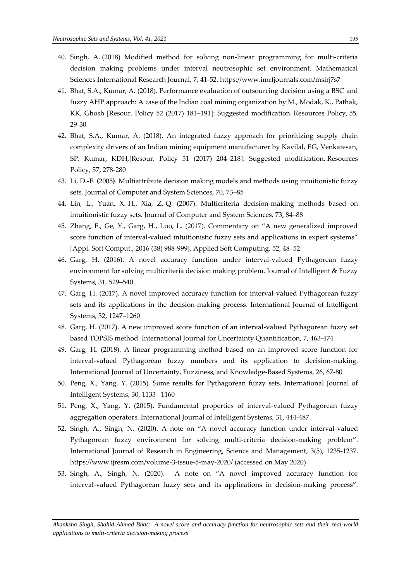- 40. Singh, A. (2018) Modified method for solving non-linear programming for multi-criteria decision making problems under interval neutrosophic set environment. Mathematical Sciences International Research Journal, 7, 41-52. https://www.imrfjournals.com/msirj7s7
- 41. Bhat, S.A., Kumar, A. (2018). Performance evaluation of outsourcing decision using a BSC and fuzzy AHP approach: A case of the Indian coal mining organization by M., Modak, K., Pathak, KK, Ghosh [Resour. Policy 52 (2017) 181–191]: Suggested modification. Resources Policy, 55, 29-30
- 42. Bhat, S.A., Kumar, A. (2018). An integrated fuzzy approach for prioritizing supply chain complexity drivers of an Indian mining equipment manufacturer by Kavilal, EG, Venkatesan, SP, Kumar, KDH,[Resour. Policy 51 (2017) 204–218]: Suggested modification. Resources Policy, 57, 278-280
- 43. Li, D.-F. **(**2005**)**. Multiattribute decision making models and methods using intuitionistic fuzzy sets. Journal of Computer and System Sciences, 70, 73–85
- 44. Lin, L., Yuan, X.-H., Xia, Z.-Q. (2007). Multicriteria decision-making methods based on intuitionistic fuzzy sets. Journal of Computer and System Sciences, 73, 84–88
- 45. Zhang, F., Ge, Y., Garg, H., Luo, L. (2017). Commentary on "A new generalized improved score function of interval-valued intuitionistic fuzzy sets and applications in expert systems" [Appl. Soft Comput., 2016 (38) 988-999]. Applied Soft Computing, 52, 48–52
- 46. Garg, H. (2016). A novel accuracy function under interval-valued Pythagorean fuzzy environment for solving multicriteria decision making problem. Journal of Intelligent & Fuzzy Systems, 31, 529–540
- 47. Garg, H. (2017). A novel improved accuracy function for interval-valued Pythagorean fuzzy sets and its applications in the decision-making process. International Journal of Intelligent Systems, 32, 1247–1260
- 48. Garg, H. (2017). A new improved score function of an interval-valued Pythagorean fuzzy set based TOPSIS method. International Journal for Uncertainty Quantification, 7, 463-474
- 49. Garg, H. (2018). A linear programming method based on an improved score function for interval-valued Pythagorean fuzzy numbers and its application to decision-making. International Journal of Uncertainty, Fuzziness, and Knowledge-Based Systems, 26, 67-80
- 50. Peng, X., Yang, Y. (2015). Some results for Pythagorean fuzzy sets. International Journal of Intelligent Systems, 30, 1133– 1160
- 51. Peng, X., Yang, Y. (2015). Fundamental properties of interval-valued Pythagorean fuzzy aggregation operators. International Journal of Intelligent Systems, 31, 444-487
- 52. Singh, A., Singh, N. (2020). A note on "A novel accuracy function under interval-valued Pythagorean fuzzy environment for solving multi-criteria decision-making problem". International Journal of Research in Engineering, Science and Management, 3(5), 1235-1237. https://www.ijresm.com/volume-3-issue-5-may-2020/ (accessed on May 2020)
- 53. Singh, A., Singh, N. (2020). A note on "A novel improved accuracy function for interval-valued Pythagorean fuzzy sets and its applications in decision-making process".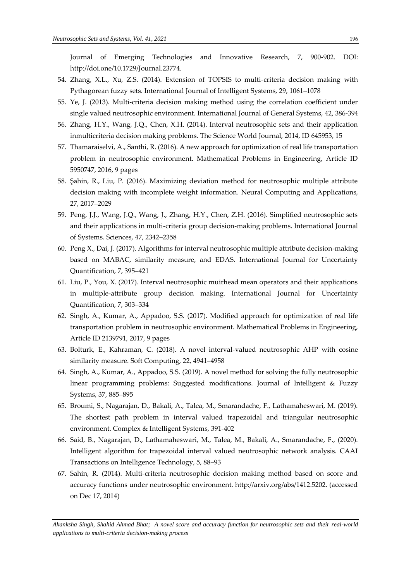Journal of Emerging Technologies and Innovative Research, 7, 900-902. DOI: http://doi.one/10.1729/Journal.23774.

- 54. Zhang, X.L., Xu, Z.S. (2014). Extension of TOPSIS to multi-criteria decision making with Pythagorean fuzzy sets. International Journal of Intelligent Systems, 29, 1061–1078
- 55. Ye, J. (2013). Multi-criteria decision making method using the correlation coefficient under single valued neutrosophic environment. International Journal of General Systems, 42, 386-394
- 56. Zhang, H.Y., Wang, J.Q., Chen, X.H. (2014). Interval neutrosophic sets and their application inmulticriteria decision making problems. The Science World Journal, 2014, ID 645953, 15
- 57. Thamaraiselvi, A., Santhi, R. (2016). A new approach for optimization of real life transportation problem in neutrosophic environment. Mathematical Problems in Engineering, Article ID 5950747, 2016, 9 pages
- 58. Şahin, R., Liu, P. (2016). Maximizing deviation method for neutrosophic multiple attribute decision making with incomplete weight information. Neural Computing and Applications, 27, 2017–2029
- 59. Peng, J.J., Wang, J.Q., Wang, J., Zhang, H.Y., Chen, Z.H. (2016). Simplified neutrosophic sets and their applications in multi-criteria group decision-making problems. International Journal of Systems. Sciences, 47, 2342–2358
- 60. Peng X., Dai, J. (2017). Algorithms for interval neutrosophic multiple attribute decision-making based on MABAC, similarity measure, and EDAS. International Journal for Uncertainty Quantification, 7, 395–421
- 61. Liu, P., You, X. (2017). Interval neutrosophic muirhead mean operators and their applications in multiple-attribute group decision making*.* International Journal for Uncertainty Quantification, 7, 303–334
- 62. Singh, A., Kumar, A., Appadoo, S.S. (2017). Modified approach for optimization of real life transportation problem in neutrosophic environment. Mathematical Problems in Engineering, Article ID 2139791, 2017, 9 pages
- 63. Bolturk, E., Kahraman, C. (2018). A novel interval-valued neutrosophic AHP with cosine similarity measure. Soft Computing, 22, 4941–4958
- 64. Singh, A., Kumar, A., Appadoo, S.S. (2019). A novel method for solving the fully neutrosophic linear programming problems: Suggested modifications. Journal of Intelligent & Fuzzy Systems, 37, 885–895
- 65. Broumi, S., Nagarajan, D., Bakali, A., Talea, M., Smarandache, F., Lathamaheswari, M. (2019). The shortest path problem in interval valued trapezoidal and triangular neutrosophic environment. Complex & Intelligent Systems, 391-402
- 66. Said, B., Nagarajan, D., Lathamaheswari, M., Talea, M., Bakali, A., Smarandache, F., (2020). Intelligent algorithm for trapezoidal interval valued neutrosophic network analysis. CAAI Transactions on Intelligence Technology, 5, 88–93
- 67. Sahin, R. (2014). Multi-criteria neutrosophic decision making method based on score and accuracy functions under neutrosophic environment. http://arxiv.org/abs/1412.5202. (accessed on Dec 17, 2014)

*Akanksha Singh, Shahid Ahmad Bhat; A novel score and accuracy function for neutrosophic sets and their real-world applications to multi-criteria decision-making process*